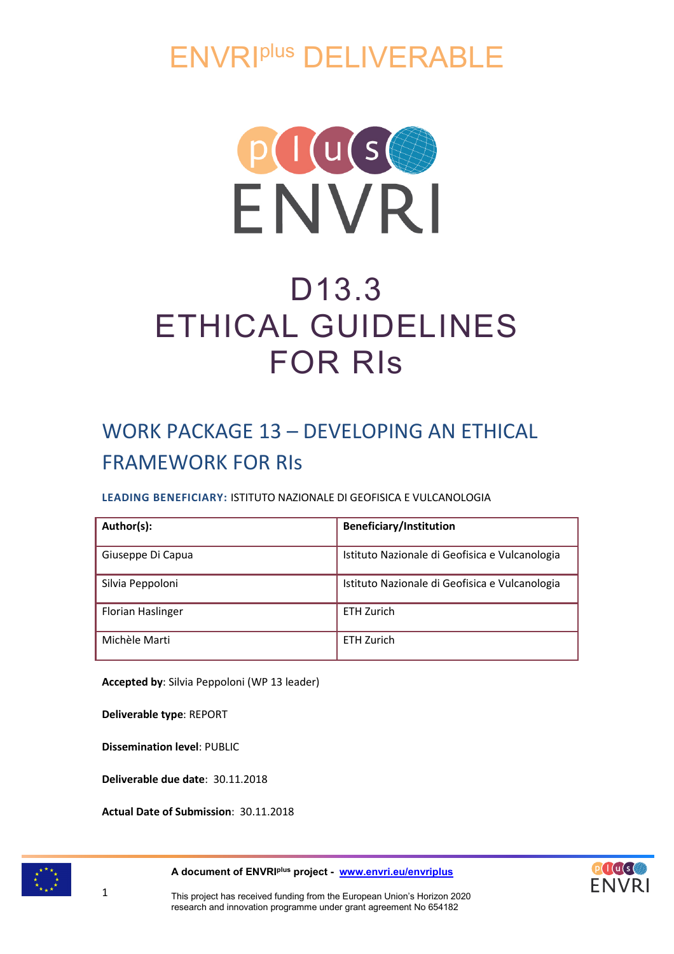ENVRIplus DELIVERABLE



# D13.3 ETHICAL GUIDELINES FOR RIs

# WORK PACKAGE 13 – DEVELOPING AN ETHICAL FRAMEWORK FOR RIs

# **LEADING BENEFICIARY:** ISTITUTO NAZIONALE DI GEOFISICA E VULCANOLOGIA

| Author(s):        | <b>Beneficiary/Institution</b>                 |
|-------------------|------------------------------------------------|
| Giuseppe Di Capua | Istituto Nazionale di Geofisica e Vulcanologia |
| Silvia Peppoloni  | Istituto Nazionale di Geofisica e Vulcanologia |
| Florian Haslinger | <b>ETH Zurich</b>                              |
| Michèle Marti     | FTH 7urich                                     |

**Accepted by**: Silvia Peppoloni (WP 13 leader)

**Deliverable type**: REPORT

**Dissemination level**: PUBLIC

**Deliverable due date**: 30.11.2018

**Actual Date of Submission**: 30.11.2018



1

**A document of ENVRIplus project - [www.envri.eu/envriplus](http://www.envri.eu/envriplus)**

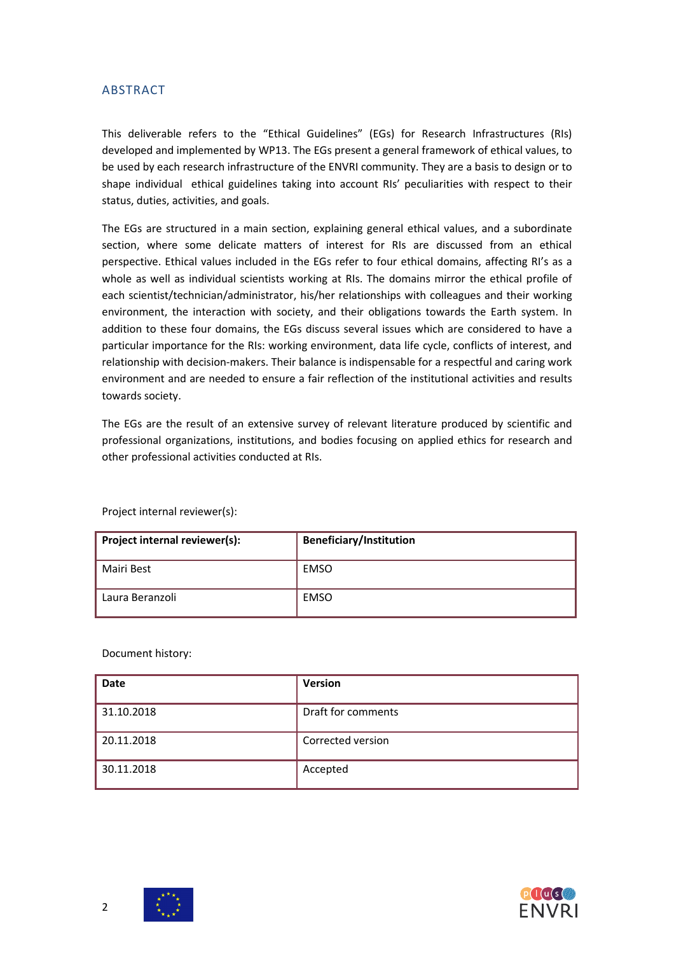### ABSTRACT

This deliverable refers to the "Ethical Guidelines" (EGs) for Research Infrastructures (RIs) developed and implemented by WP13. The EGs present a general framework of ethical values, to be used by each research infrastructure of the ENVRI community. They are a basis to design or to shape individual ethical guidelines taking into account RIs' peculiarities with respect to their status, duties, activities, and goals.

The EGs are structured in a main section, explaining general ethical values, and a subordinate section, where some delicate matters of interest for RIs are discussed from an ethical perspective. Ethical values included in the EGs refer to four ethical domains, affecting RI's as a whole as well as individual scientists working at RIs. The domains mirror the ethical profile of each scientist/technician/administrator, his/her relationships with colleagues and their working environment, the interaction with society, and their obligations towards the Earth system. In addition to these four domains, the EGs discuss several issues which are considered to have a particular importance for the RIs: working environment, data life cycle, conflicts of interest, and relationship with decision-makers. Their balance is indispensable for a respectful and caring work environment and are needed to ensure a fair reflection of the institutional activities and results towards society.

The EGs are the result of an extensive survey of relevant literature produced by scientific and professional organizations, institutions, and bodies focusing on applied ethics for research and other professional activities conducted at RIs.

Project internal reviewer(s):

| Project internal reviewer(s): | <b>Beneficiary/Institution</b> |
|-------------------------------|--------------------------------|
| Mairi Best                    | <b>EMSO</b>                    |
| Laura Beranzoli               | <b>EMSO</b>                    |

Document history:

| <b>Date</b> | <b>Version</b>     |
|-------------|--------------------|
| 31.10.2018  | Draft for comments |
| 20.11.2018  | Corrected version  |
| 30.11.2018  | Accepted           |





2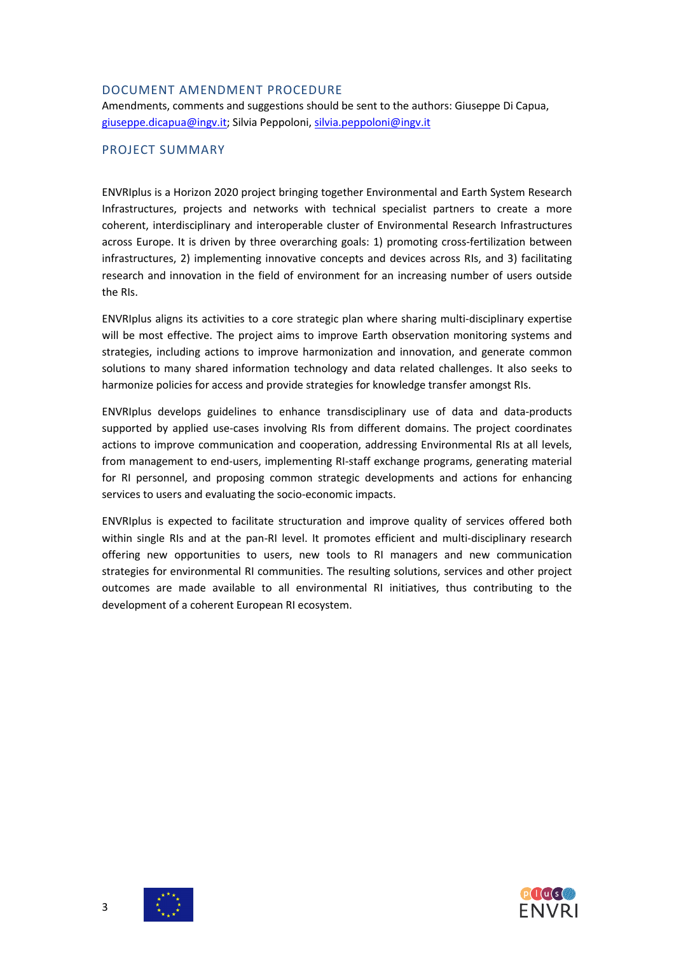### DOCUMENT AMENDMENT PROCEDURE

Amendments, comments and suggestions should be sent to the authors: Giuseppe Di Capua, [giuseppe.dicapua@ingv.it;](mailto:giuseppe.dicapua@ingv.it) Silvia Peppoloni[, silvia.peppoloni@ingv.it](mailto:silvia.peppoloni@ingv.it)

### PROJECT SUMMARY

ENVRIplus is a Horizon 2020 project bringing together Environmental and Earth System Research Infrastructures, projects and networks with technical specialist partners to create a more coherent, interdisciplinary and interoperable cluster of Environmental Research Infrastructures across Europe. It is driven by three overarching goals: 1) promoting cross-fertilization between infrastructures, 2) implementing innovative concepts and devices across RIs, and 3) facilitating research and innovation in the field of environment for an increasing number of users outside the RIs.

ENVRIplus aligns its activities to a core strategic plan where sharing multi-disciplinary expertise will be most effective. The project aims to improve Earth observation monitoring systems and strategies, including actions to improve harmonization and innovation, and generate common solutions to many shared information technology and data related challenges. It also seeks to harmonize policies for access and provide strategies for knowledge transfer amongst RIs.

ENVRIplus develops guidelines to enhance transdisciplinary use of data and data-products supported by applied use-cases involving RIs from different domains. The project coordinates actions to improve communication and cooperation, addressing Environmental RIs at all levels, from management to end-users, implementing RI-staff exchange programs, generating material for RI personnel, and proposing common strategic developments and actions for enhancing services to users and evaluating the socio-economic impacts.

ENVRIplus is expected to facilitate structuration and improve quality of services offered both within single RIs and at the pan-RI level. It promotes efficient and multi-disciplinary research offering new opportunities to users, new tools to RI managers and new communication strategies for environmental RI communities. The resulting solutions, services and other project outcomes are made available to all environmental RI initiatives, thus contributing to the development of a coherent European RI ecosystem.

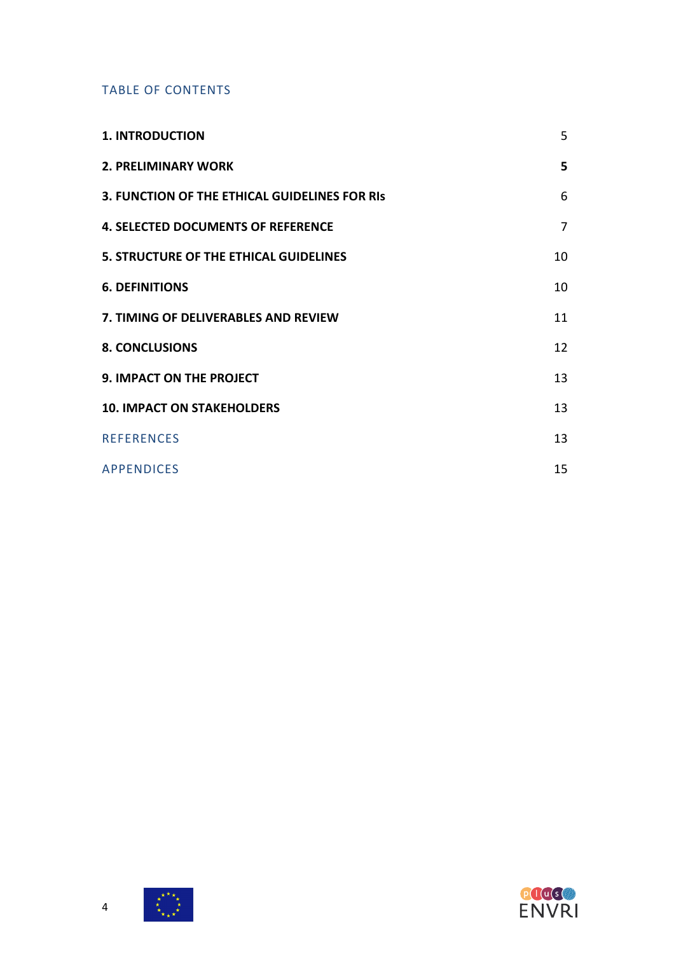### TABLE OF CONTENTS

| <b>1. INTRODUCTION</b>                        | 5              |
|-----------------------------------------------|----------------|
| <b>2. PRELIMINARY WORK</b>                    | 5              |
| 3. FUNCTION OF THE ETHICAL GUIDELINES FOR RIS | 6              |
| <b>4. SELECTED DOCUMENTS OF REFERENCE</b>     | $\overline{7}$ |
| 5. STRUCTURE OF THE ETHICAL GUIDELINES        | 10             |
| <b>6. DEFINITIONS</b>                         | 10             |
| 7. TIMING OF DELIVERABLES AND REVIEW          | 11             |
| <b>8. CONCLUSIONS</b>                         | 12             |
| 9. IMPACT ON THE PROJECT                      | 13             |
| <b>10. IMPACT ON STAKEHOLDERS</b>             | 13             |
| <b>REFERENCES</b>                             | 13             |
| <b>APPENDICES</b>                             | 15             |



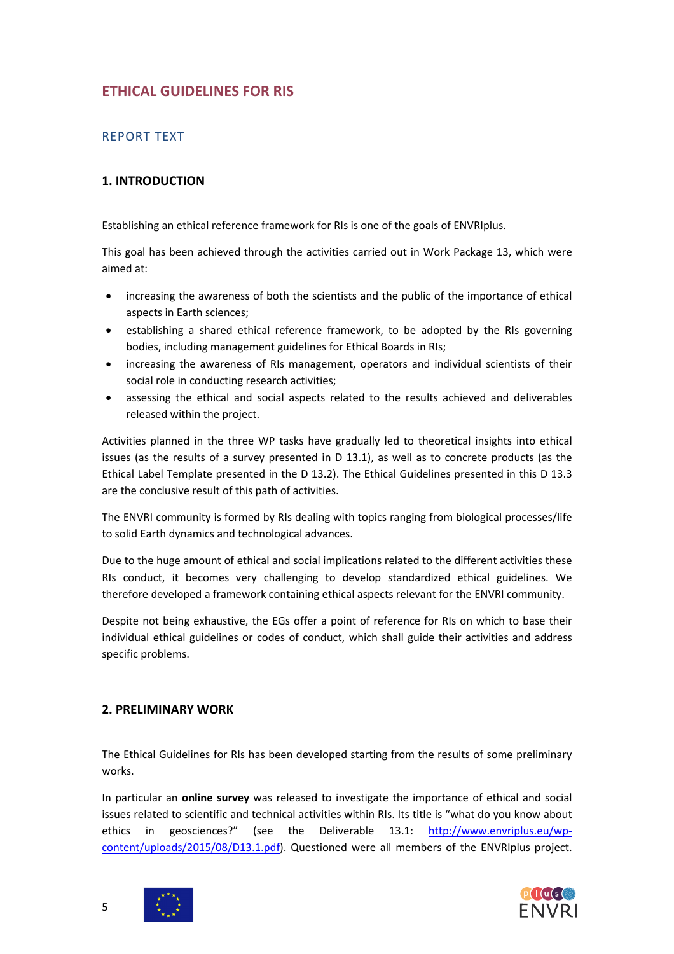# **ETHICAL GUIDELINES FOR RIS**

# REPORT TEXT

# **1. INTRODUCTION**

Establishing an ethical reference framework for RIs is one of the goals of ENVRIplus.

This goal has been achieved through the activities carried out in Work Package 13, which were aimed at:

- increasing the awareness of both the scientists and the public of the importance of ethical aspects in Earth sciences;
- establishing a shared ethical reference framework, to be adopted by the RIs governing bodies, including management guidelines for Ethical Boards in RIs;
- increasing the awareness of RIs management, operators and individual scientists of their social role in conducting research activities;
- assessing the ethical and social aspects related to the results achieved and deliverables released within the project.

Activities planned in the three WP tasks have gradually led to theoretical insights into ethical issues (as the results of a survey presented in D 13.1), as well as to concrete products (as the Ethical Label Template presented in the D 13.2). The Ethical Guidelines presented in this D 13.3 are the conclusive result of this path of activities.

The ENVRI community is formed by RIs dealing with topics ranging from biological processes/life to solid Earth dynamics and technological advances.

Due to the huge amount of ethical and social implications related to the different activities these RIs conduct, it becomes very challenging to develop standardized ethical guidelines. We therefore developed a framework containing ethical aspects relevant for the ENVRI community.

Despite not being exhaustive, the EGs offer a point of reference for RIs on which to base their individual ethical guidelines or codes of conduct, which shall guide their activities and address specific problems.

### **2. PRELIMINARY WORK**

The Ethical Guidelines for RIs has been developed starting from the results of some preliminary works.

In particular an **online survey** was released to investigate the importance of ethical and social issues related to scientific and technical activities within RIs. Its title is "what do you know about ethics in geosciences?" (see the Deliverable 13.1: [http://www.envriplus.eu/wp](http://www.envriplus.eu/wp-content/uploads/2015/08/D13.1.pdf)[content/uploads/2015/08/D13.1.pdf\)](http://www.envriplus.eu/wp-content/uploads/2015/08/D13.1.pdf). Questioned were all members of the ENVRIplus project.



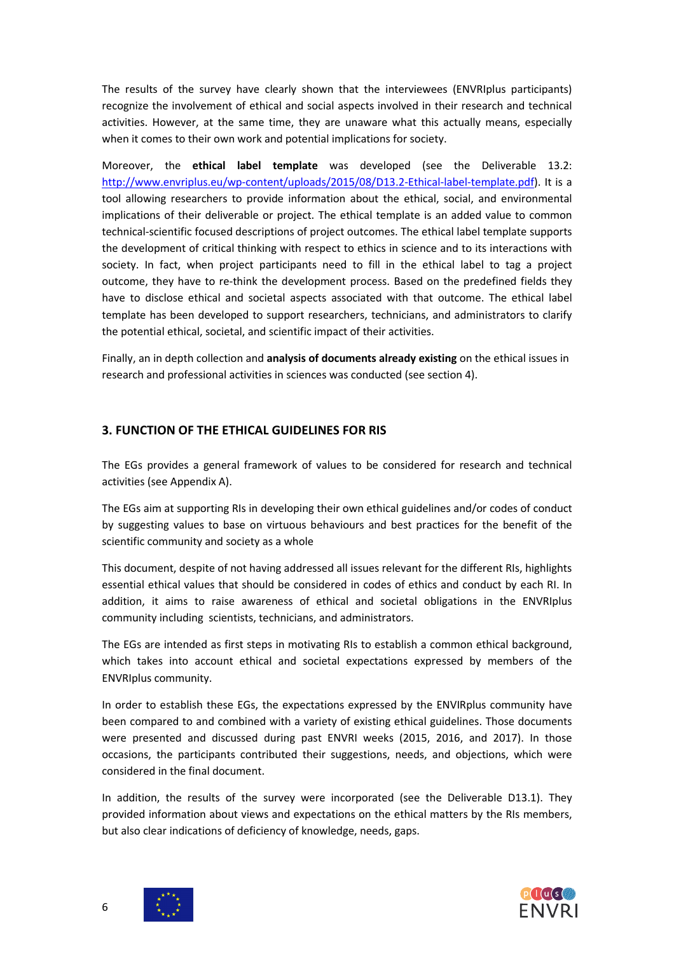The results of the survey have clearly shown that the interviewees (ENVRIplus participants) recognize the involvement of ethical and social aspects involved in their research and technical activities. However, at the same time, they are unaware what this actually means, especially when it comes to their own work and potential implications for society.

Moreover, the **ethical label template** was developed (see the Deliverable 13.2: [http://www.envriplus.eu/wp-content/uploads/2015/08/D13.2-Ethical-label-template.pdf\)](http://www.envriplus.eu/wp-content/uploads/2015/08/D13.2-Ethical-label-template.pdf). It is a tool allowing researchers to provide information about the ethical, social, and environmental implications of their deliverable or project. The ethical template is an added value to common technical-scientific focused descriptions of project outcomes. The ethical label template supports the development of critical thinking with respect to ethics in science and to its interactions with society. In fact, when project participants need to fill in the ethical label to tag a project outcome, they have to re-think the development process. Based on the predefined fields they have to disclose ethical and societal aspects associated with that outcome. The ethical label template has been developed to support researchers, technicians, and administrators to clarify the potential ethical, societal, and scientific impact of their activities.

Finally, an in depth collection and **analysis of documents already existing** on the ethical issues in research and professional activities in sciences was conducted (see section 4).

### **3. FUNCTION OF THE ETHICAL GUIDELINES FOR RIS**

The EGs provides a general framework of values to be considered for research and technical activities (see Appendix A).

The EGs aim at supporting RIs in developing their own ethical guidelines and/or codes of conduct by suggesting values to base on virtuous behaviours and best practices for the benefit of the scientific community and society as a whole

This document, despite of not having addressed all issues relevant for the different RIs, highlights essential ethical values that should be considered in codes of ethics and conduct by each RI. In addition, it aims to raise awareness of ethical and societal obligations in the ENVRIplus community including scientists, technicians, and administrators.

The EGs are intended as first steps in motivating RIs to establish a common ethical background, which takes into account ethical and societal expectations expressed by members of the ENVRIplus community.

In order to establish these EGs, the expectations expressed by the ENVIRplus community have been compared to and combined with a variety of existing ethical guidelines. Those documents were presented and discussed during past ENVRI weeks (2015, 2016, and 2017). In those occasions, the participants contributed their suggestions, needs, and objections, which were considered in the final document.

In addition, the results of the survey were incorporated (see the Deliverable D13.1). They provided information about views and expectations on the ethical matters by the RIs members, but also clear indications of deficiency of knowledge, needs, gaps.



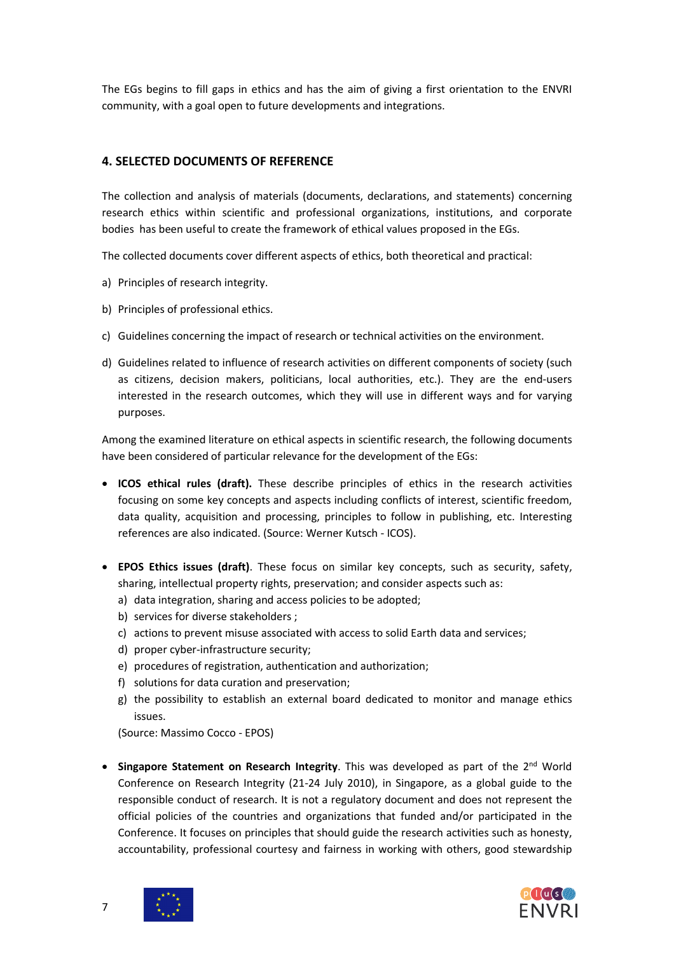The EGs begins to fill gaps in ethics and has the aim of giving a first orientation to the ENVRI community, with a goal open to future developments and integrations.

### **4. SELECTED DOCUMENTS OF REFERENCE**

The collection and analysis of materials (documents, declarations, and statements) concerning research ethics within scientific and professional organizations, institutions, and corporate bodies has been useful to create the framework of ethical values proposed in the EGs.

The collected documents cover different aspects of ethics, both theoretical and practical:

- a) Principles of research integrity.
- b) Principles of professional ethics.
- c) Guidelines concerning the impact of research or technical activities on the environment.
- d) Guidelines related to influence of research activities on different components of society (such as citizens, decision makers, politicians, local authorities, etc.). They are the end-users interested in the research outcomes, which they will use in different ways and for varying purposes.

Among the examined literature on ethical aspects in scientific research, the following documents have been considered of particular relevance for the development of the EGs:

- **ICOS ethical rules (draft).** These describe principles of ethics in the research activities focusing on some key concepts and aspects including conflicts of interest, scientific freedom, data quality, acquisition and processing, principles to follow in publishing, etc. Interesting references are also indicated. (Source: Werner Kutsch - ICOS).
- **EPOS Ethics issues (draft)**. These focus on similar key concepts, such as security, safety, sharing, intellectual property rights, preservation; and consider aspects such as:
	- a) data integration, sharing and access policies to be adopted;
	- b) services for diverse stakeholders ;
	- c) actions to prevent misuse associated with access to solid Earth data and services;
	- d) proper cyber-infrastructure security;
	- e) procedures of registration, authentication and authorization;
	- f) solutions for data curation and preservation;
	- g) the possibility to establish an external board dedicated to monitor and manage ethics issues.

(Source: Massimo Cocco - EPOS)

• **Singapore Statement on Research Integrity**. This was developed as part of the 2nd World Conference on Research Integrity (21-24 July 2010), in Singapore, as a global guide to the responsible conduct of research. It is not a regulatory document and does not represent the official policies of the countries and organizations that funded and/or participated in the Conference. It focuses on principles that should guide the research activities such as honesty, accountability, professional courtesy and fairness in working with others, good stewardship



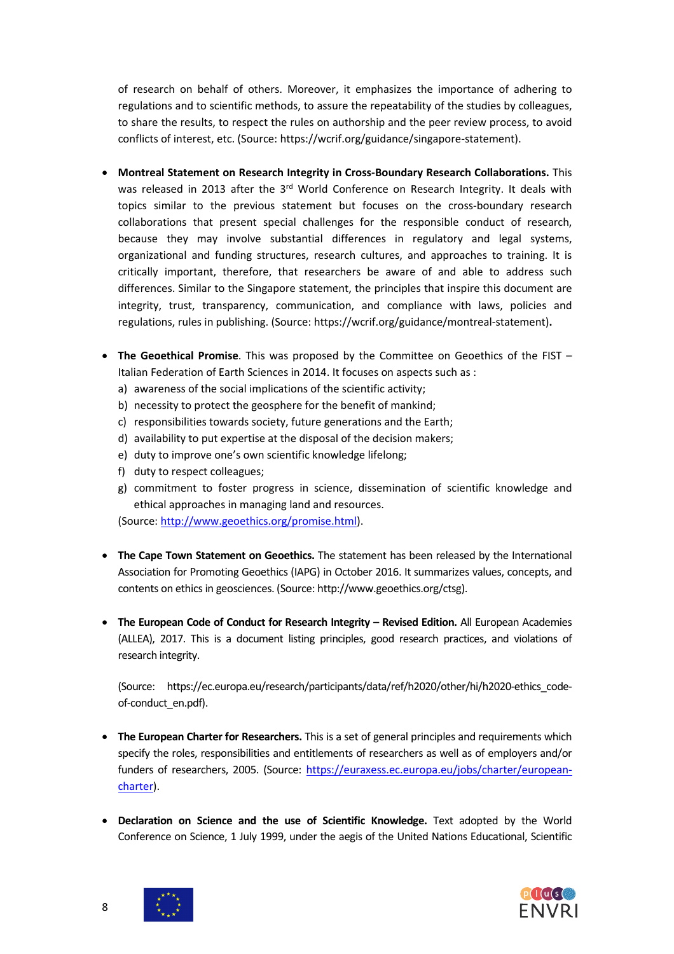of research on behalf of others. Moreover, it emphasizes the importance of adhering to regulations and to scientific methods, to assure the repeatability of the studies by colleagues, to share the results, to respect the rules on authorship and the peer review process, to avoid conflicts of interest, etc. (Source: [https://wcrif.org/guidance/singapore-statement\)](https://wcrif.org/guidance/singapore-statement).

- **Montreal Statement on Research Integrity in Cross-Boundary Research Collaborations.** This was released in 2013 after the  $3<sup>rd</sup>$  World Conference on Research Integrity. It deals with topics similar to the previous statement but focuses on the cross-boundary research collaborations that present special challenges for the responsible conduct of research, because they may involve substantial differences in regulatory and legal systems, organizational and funding structures, research cultures, and approaches to training. It is critically important, therefore, that researchers be aware of and able to address such differences. Similar to the Singapore statement, the principles that inspire this document are integrity, trust, transparency, communication, and compliance with laws, policies and regulations, rules in publishing. (Source: [https://wcrif.org/guidance/montreal-statement\)](https://wcrif.org/guidance/montreal-statement)**.**
- **The Geoethical Promise**. This was proposed by the Committee on Geoethics of the FIST Italian Federation of Earth Sciences in 2014. It focuses on aspects such as :
	- a) awareness of the social implications of the scientific activity;
	- b) necessity to protect the geosphere for the benefit of mankind;
	- c) responsibilities towards society, future generations and the Earth;
	- d) availability to put expertise at the disposal of the decision makers;
	- e) duty to improve one's own scientific knowledge lifelong;
	- f) duty to respect colleagues;
	- g) commitment to foster progress in science, dissemination of scientific knowledge and ethical approaches in managing land and resources.
	- (Source: [http://www.geoethics.org/promise.html\)](http://www.geoethics.org/promise.html).
- **The Cape Town Statement on Geoethics.** The statement has been released by the International Association for Promoting Geoethics (IAPG) in October 2016. It summarizes values, concepts, and contents on ethics in geosciences. (Source[: http://www.geoethics.org/ctsg\)](http://www.geoethics.org/ctsg).
- **The European Code of Conduct for Research Integrity – Revised Edition.** All European Academies (ALLEA), 2017. This is a document listing principles, good research practices, and violations of research integrity.

(Source: [https://ec.europa.eu/research/participants/data/ref/h2020/other/hi/h2020-ethics\\_code](https://ec.europa.eu/research/participants/data/ref/h2020/other/hi/h2020-ethics_code-of-conduct_en.pdf)[of-conduct\\_en.pdf\)](https://ec.europa.eu/research/participants/data/ref/h2020/other/hi/h2020-ethics_code-of-conduct_en.pdf).

- **The European Charter for Researchers.** This is a set of general principles and requirements which specify the roles, responsibilities and entitlements of researchers as well as of employers and/or funders of researchers, 2005. (Source: [https://euraxess.ec.europa.eu/jobs/charter/european](https://euraxess.ec.europa.eu/jobs/charter/european-charter)[charter\)](https://euraxess.ec.europa.eu/jobs/charter/european-charter).
- **Declaration on Science and the use of Scientific Knowledge.** Text adopted by the World Conference on Science, 1 July 1999, under the aegis of the United Nations Educational, Scientific



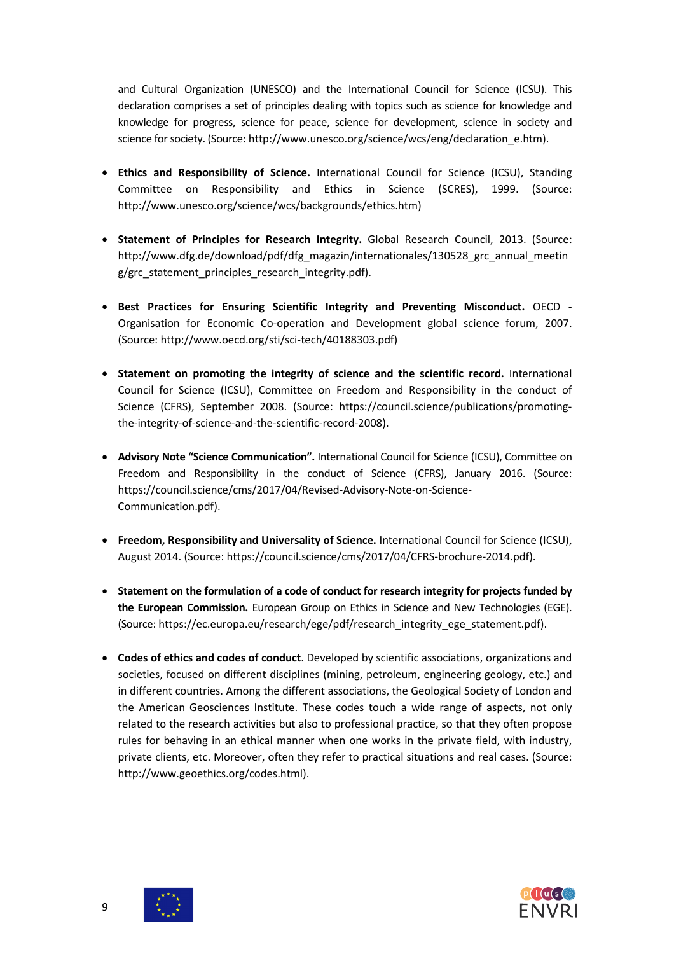and Cultural Organization (UNESCO) and the International Council for Science (ICSU). This declaration comprises a set of principles dealing with topics such as science for knowledge and knowledge for progress, science for peace, science for development, science in society and science for society. (Source: http://www.unesco.org/science/wcs/eng/declaration\_e.htm).

- **Ethics and Responsibility of Science.** International Council for Science (ICSU), Standing Committee on Responsibility and Ethics in Science (SCRES), 1999. (Source: [http://www.unesco.org/science/wcs/backgrounds/ethics.htm\)](http://www.unesco.org/science/wcs/backgrounds/ethics.htm)
- **Statement of Principles for Research Integrity.** Global Research Council, 2013. (Source: [http://www.dfg.de/download/pdf/dfg\\_magazin/internationales/130528\\_grc\\_annual\\_meetin](http://www.dfg.de/download/pdf/dfg_magazin/internationales/130528_grc_annual_meeting/grc_statement_principles_research_integrity.pdf) [g/grc\\_statement\\_principles\\_research\\_integrity.pdf\)](http://www.dfg.de/download/pdf/dfg_magazin/internationales/130528_grc_annual_meeting/grc_statement_principles_research_integrity.pdf).
- **Best Practices for Ensuring Scientific Integrity and Preventing Misconduct.** OECD Organisation for Economic Co-operation and Development global science forum, 2007. (Source: http://www.oecd.org/sti/sci-tech/40188303.pdf)
- **Statement on promoting the integrity of science and the scientific record.** International Council for Science (ICSU), Committee on Freedom and Responsibility in the conduct of Science (CFRS), September 2008. (Source: [https://council.science/publications/promoting](https://council.science/publications/promoting-the-integrity-of-science-and-the-scientific-record-2008)[the-integrity-of-science-and-the-scientific-record-2008\)](https://council.science/publications/promoting-the-integrity-of-science-and-the-scientific-record-2008).
- **Advisory Note "Science Communication".** International Council for Science (ICSU), Committee on Freedom and Responsibility in the conduct of Science (CFRS), January 2016. (Source: [https://council.science/cms/2017/04/Revised-Advisory-Note-on-Science-](https://council.science/cms/2017/04/Revised-Advisory-Note-on-Science-Communication.pdf)[Communication.pdf\)](https://council.science/cms/2017/04/Revised-Advisory-Note-on-Science-Communication.pdf).
- **Freedom, Responsibility and Universality of Science.** International Council for Science (ICSU), August 2014. (Source: [https://council.science/cms/2017/04/CFRS-brochure-2014.pdf\)](https://council.science/cms/2017/04/CFRS-brochure-2014.pdf).
- **Statement on the formulation of a code of conduct for research integrity for projects funded by the European Commission.** European Group on Ethics in Science and New Technologies (EGE). (Source: [https://ec.europa.eu/research/ege/pdf/research\\_integrity\\_ege\\_statement.pdf\)](https://ec.europa.eu/research/ege/pdf/research_integrity_ege_statement.pdf).
- **Codes of ethics and codes of conduct**. Developed by scientific associations, organizations and societies, focused on different disciplines (mining, petroleum, engineering geology, etc.) and in different countries. Among the different associations, the Geological Society of London and the American Geosciences Institute. These codes touch a wide range of aspects, not only related to the research activities but also to professional practice, so that they often propose rules for behaving in an ethical manner when one works in the private field, with industry, private clients, etc. Moreover, often they refer to practical situations and real cases. (Source: http://www.geoethics.org/codes.html).

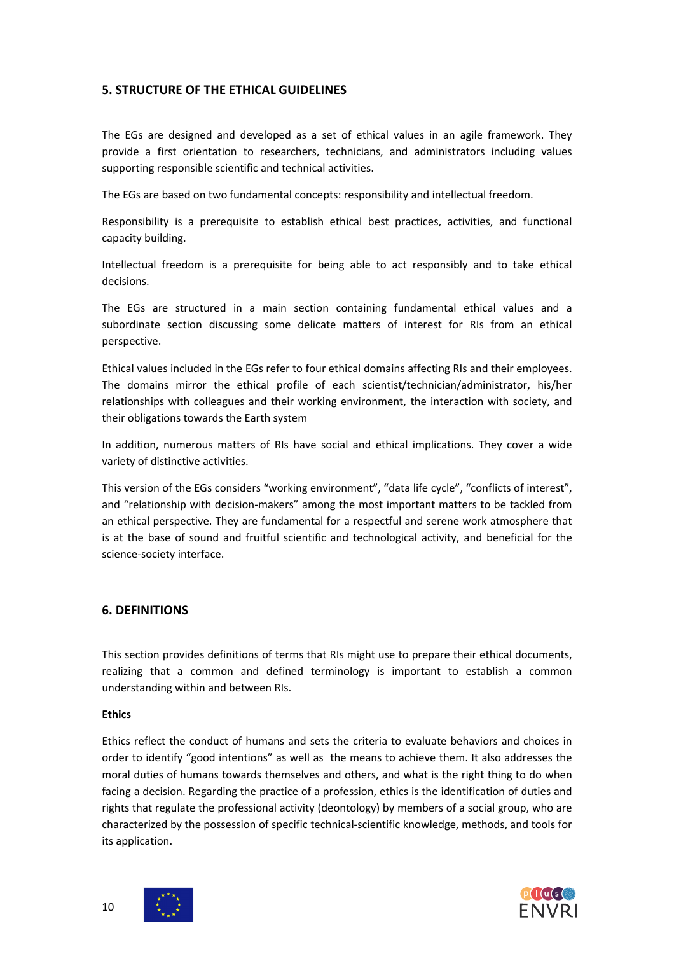### **5. STRUCTURE OF THE ETHICAL GUIDELINES**

The EGs are designed and developed as a set of ethical values in an agile framework. They provide a first orientation to researchers, technicians, and administrators including values supporting responsible scientific and technical activities.

The EGs are based on two fundamental concepts: responsibility and intellectual freedom.

Responsibility is a prerequisite to establish ethical best practices, activities, and functional capacity building.

Intellectual freedom is a prerequisite for being able to act responsibly and to take ethical decisions.

The EGs are structured in a main section containing fundamental ethical values and a subordinate section discussing some delicate matters of interest for RIs from an ethical perspective.

Ethical values included in the EGs refer to four ethical domains affecting RIs and their employees. The domains mirror the ethical profile of each scientist/technician/administrator, his/her relationships with colleagues and their working environment, the interaction with society, and their obligations towards the Earth system

In addition, numerous matters of RIs have social and ethical implications. They cover a wide variety of distinctive activities.

This version of the EGs considers "working environment", "data life cycle", "conflicts of interest", and "relationship with decision-makers" among the most important matters to be tackled from an ethical perspective. They are fundamental for a respectful and serene work atmosphere that is at the base of sound and fruitful scientific and technological activity, and beneficial for the science-society interface.

### **6. DEFINITIONS**

This section provides definitions of terms that RIs might use to prepare their ethical documents, realizing that a common and defined terminology is important to establish a common understanding within and between RIs.

#### **Ethics**

Ethics reflect the conduct of humans and sets the criteria to evaluate behaviors and choices in order to identify "good intentions" as well as the means to achieve them. It also addresses the moral duties of humans towards themselves and others, and what is the right thing to do when facing a decision. Regarding the practice of a profession, ethics is the identification of duties and rights that regulate the professional activity (deontology) by members of a social group, who are characterized by the possession of specific technical-scientific knowledge, methods, and tools for its application.



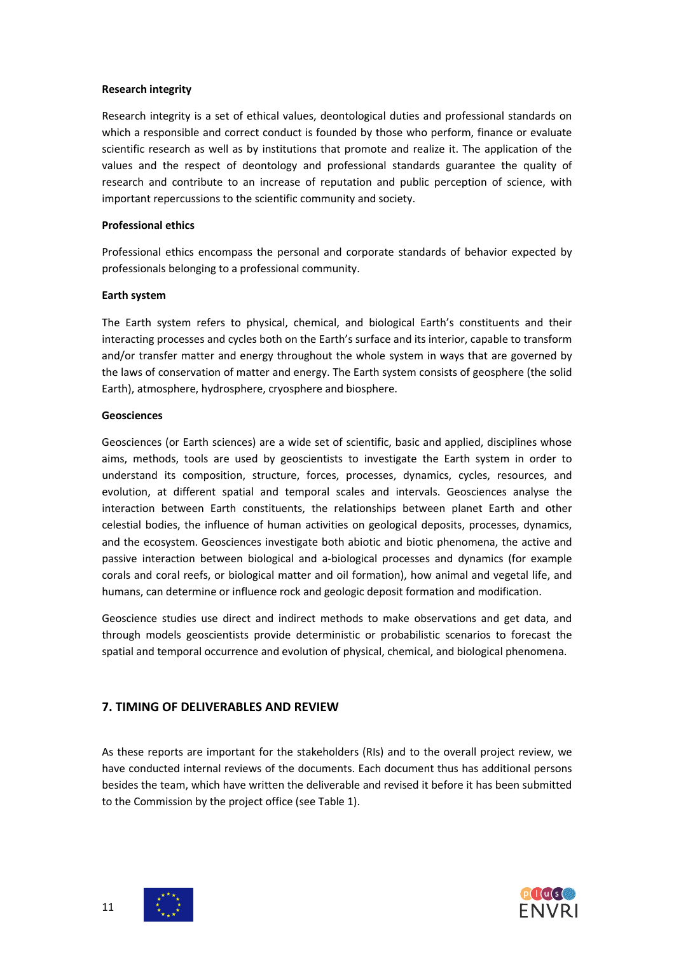### **Research integrity**

Research integrity is a set of ethical values, deontological duties and professional standards on which a responsible and correct conduct is founded by those who perform, finance or evaluate scientific research as well as by institutions that promote and realize it. The application of the values and the respect of deontology and professional standards guarantee the quality of research and contribute to an increase of reputation and public perception of science, with important repercussions to the scientific community and society.

### **Professional ethics**

Professional ethics encompass the personal and corporate standards of behavior expected by [professionals](https://en.wikipedia.org/wiki/Professional) belonging to a professional community.

### **Earth system**

The Earth system refers to physical, chemical, and biological Earth's constituents and their interacting processes and cycles both on the Earth's surface and its interior, capable to transform and/or transfer matter and energy throughout the whole system in ways that are governed by the laws of conservation of matter and energy. The Earth system consists of geosphere (the solid Earth), atmosphere, hydrosphere, cryosphere and biosphere.

### **Geosciences**

Geosciences (or Earth sciences) are a wide set of scientific, basic and applied, disciplines whose aims, methods, tools are used by geoscientists to investigate the Earth system in order to understand its composition, structure, forces, processes, dynamics, cycles, resources, and evolution, at different spatial and temporal scales and intervals. Geosciences analyse the interaction between Earth constituents, the relationships between planet Earth and other celestial bodies, the influence of human activities on geological deposits, processes, dynamics, and the ecosystem. Geosciences investigate both abiotic and biotic phenomena, the active and passive interaction between biological and a-biological processes and dynamics (for example corals and coral reefs, or biological matter and oil formation), how animal and vegetal life, and humans, can determine or influence rock and geologic deposit formation and modification.

Geoscience studies use direct and indirect methods to make observations and get data, and through models geoscientists provide deterministic or probabilistic scenarios to forecast the spatial and temporal occurrence and evolution of physical, chemical, and biological phenomena.

# **7. TIMING OF DELIVERABLES AND REVIEW**

As these reports are important for the stakeholders (RIs) and to the overall project review, we have conducted internal reviews of the documents. Each document thus has additional persons besides the team, which have written the deliverable and revised it before it has been submitted to the Commission by the project office (see Table 1).



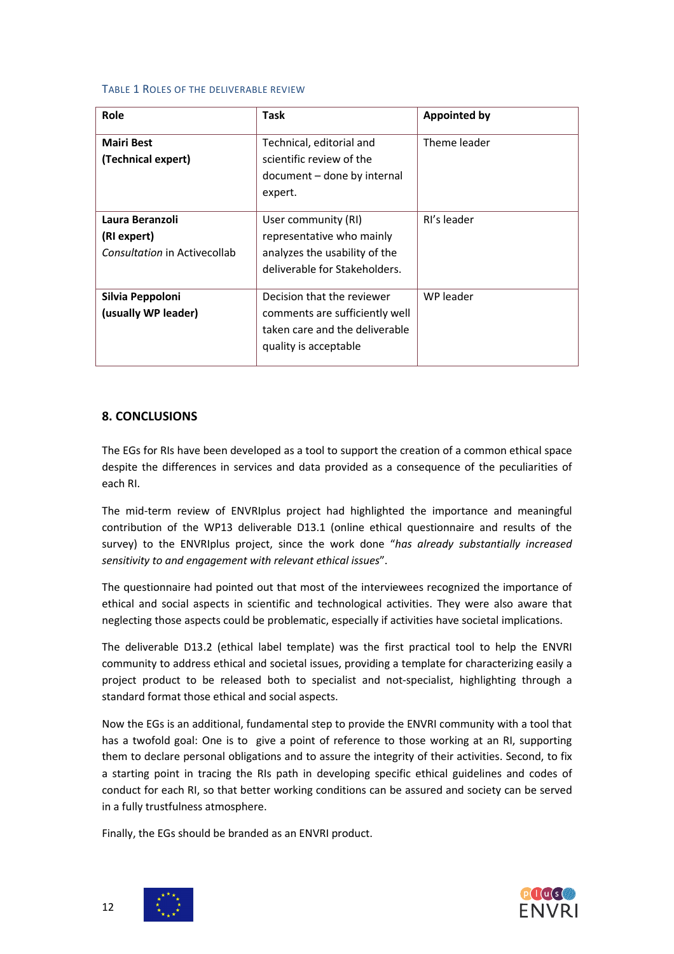#### TABLE 1 ROLES OF THE DELIVERABLE REVIEW

| <b>Role</b>                                                    | Task                                                                                                                    | <b>Appointed by</b> |
|----------------------------------------------------------------|-------------------------------------------------------------------------------------------------------------------------|---------------------|
| <b>Mairi Best</b><br>(Technical expert)                        | Technical, editorial and<br>scientific review of the<br>document – done by internal<br>expert.                          | Theme leader        |
| Laura Beranzoli<br>(RI expert)<br>Consultation in Activecollab | User community (RI)<br>representative who mainly<br>analyzes the usability of the<br>deliverable for Stakeholders.      | RI's leader         |
| Silvia Peppoloni<br>(usually WP leader)                        | Decision that the reviewer<br>comments are sufficiently well<br>taken care and the deliverable<br>quality is acceptable | WP leader           |

### **8. CONCLUSIONS**

The EGs for RIs have been developed as a tool to support the creation of a common ethical space despite the differences in services and data provided as a consequence of the peculiarities of each RI.

The mid-term review of ENVRIplus project had highlighted the importance and meaningful contribution of the WP13 deliverable D13.1 (online ethical questionnaire and results of the survey) to the ENVRIplus project, since the work done "*has already substantially increased sensitivity to and engagement with relevant ethical issues*".

The questionnaire had pointed out that most of the interviewees recognized the importance of ethical and social aspects in scientific and technological activities. They were also aware that neglecting those aspects could be problematic, especially if activities have societal implications.

The deliverable D13.2 (ethical label template) was the first practical tool to help the ENVRI community to address ethical and societal issues, providing a template for characterizing easily a project product to be released both to specialist and not-specialist, highlighting through a standard format those ethical and social aspects.

Now the EGs is an additional, fundamental step to provide the ENVRI community with a tool that has a twofold goal: One is to give a point of reference to those working at an RI, supporting them to declare personal obligations and to assure the integrity of their activities. Second, to fix a starting point in tracing the RIs path in developing specific ethical guidelines and codes of conduct for each RI, so that better working conditions can be assured and society can be served in a fully trustfulness atmosphere.

Finally, the EGs should be branded as an ENVRI product.



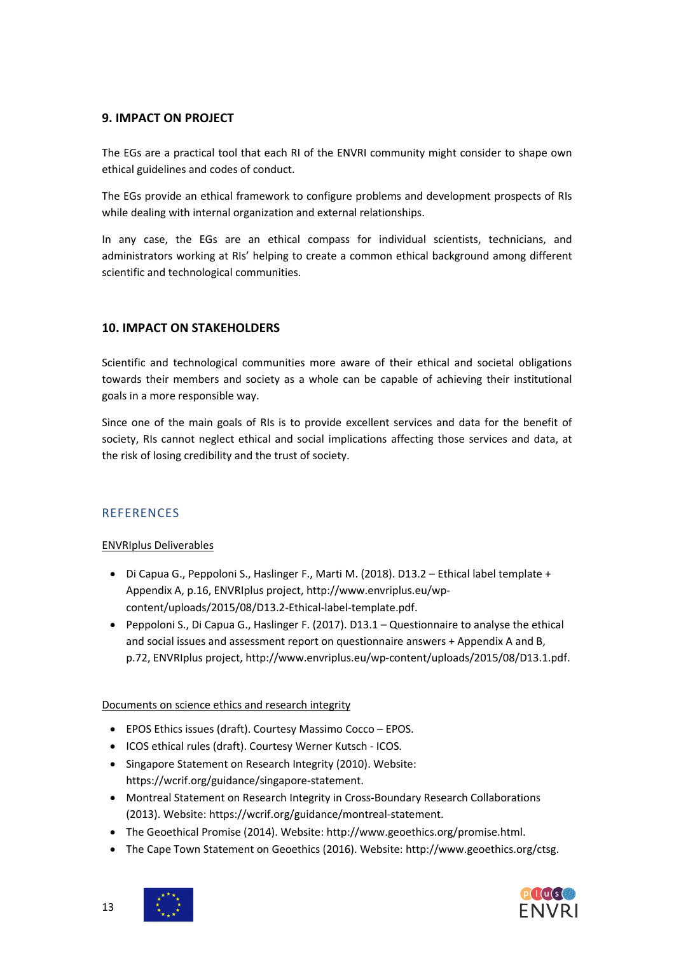### **9. IMPACT ON PROJECT**

The EGs are a practical tool that each RI of the ENVRI community might consider to shape own ethical guidelines and codes of conduct.

The EGs provide an ethical framework to configure problems and development prospects of RIs while dealing with internal organization and external relationships.

In any case, the EGs are an ethical compass for individual scientists, technicians, and administrators working at RIs' helping to create a common ethical background among different scientific and technological communities.

### **10. IMPACT ON STAKEHOLDERS**

Scientific and technological communities more aware of their ethical and societal obligations towards their members and society as a whole can be capable of achieving their institutional goals in a more responsible way.

Since one of the main goals of RIs is to provide excellent services and data for the benefit of society, RIs cannot neglect ethical and social implications affecting those services and data, at the risk of losing credibility and the trust of society.

# **REFERENCES**

ENVRIplus Deliverables

- Di Capua G., Peppoloni S., Haslinger F., Marti M. (2018). D13.2 Ethical label template + Appendix A, p.16, ENVRIplus project[, http://www.envriplus.eu/wp](http://www.envriplus.eu/wp-content/uploads/2015/08/D13.2-Ethical-label-template.pdf)[content/uploads/2015/08/D13.2-Ethical-label-template.pdf.](http://www.envriplus.eu/wp-content/uploads/2015/08/D13.2-Ethical-label-template.pdf)
- Peppoloni S., Di Capua G., Haslinger F. (2017). D13.1 Questionnaire to analyse the ethical and social issues and assessment report on questionnaire answers + Appendix A and B, p.72, ENVRIplus project[, http://www.envriplus.eu/wp-content/uploads/2015/08/D13.1.pdf.](http://www.envriplus.eu/wp-content/uploads/2015/08/D13.1.pdf)

Documents on science ethics and research integrity

- EPOS Ethics issues (draft). Courtesy Massimo Cocco EPOS.
- ICOS ethical rules (draft). Courtesy Werner Kutsch ICOS.
- Singapore Statement on Research Integrity (2010). Website: [https://wcrif.org/guidance/singapore-statement.](https://wcrif.org/guidance/singapore-statement)
- Montreal Statement on Research Integrity in Cross-Boundary Research Collaborations (2013). Website[: https://wcrif.org/guidance/montreal-statement.](https://wcrif.org/guidance/montreal-statement)
- The Geoethical Promise (2014). Website: [http://www.geoethics.org/promise.html.](http://www.geoethics.org/promise.html)
- The Cape Town Statement on Geoethics (2016). Website: http://www.geoethics.org/ctsg.



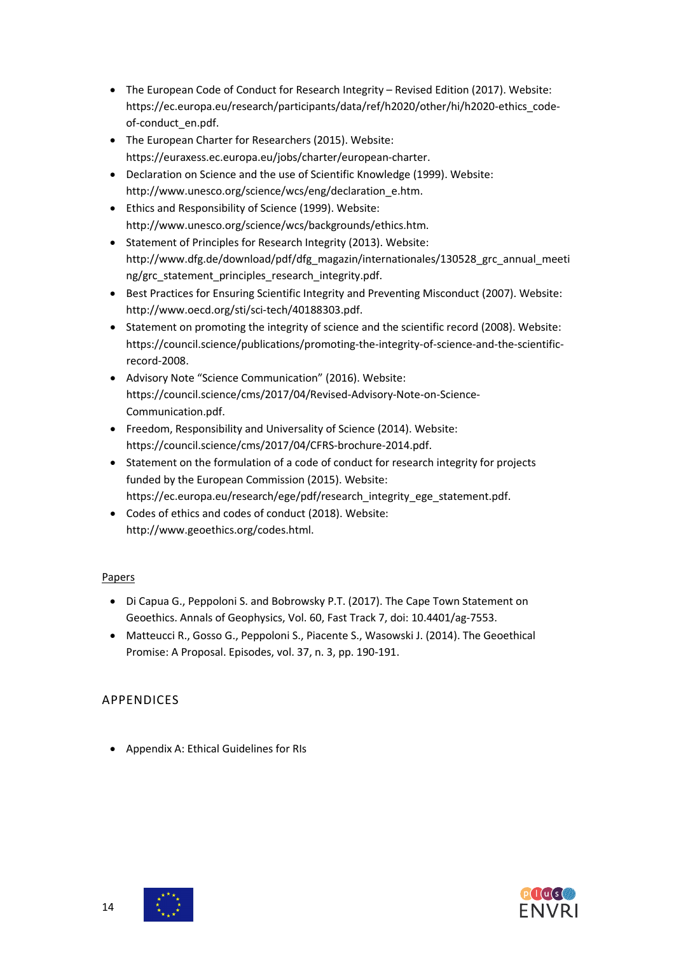- The European Code of Conduct for Research Integrity Revised Edition (2017). Website: [https://ec.europa.eu/research/participants/data/ref/h2020/other/hi/h2020-ethics\\_code](https://ec.europa.eu/research/participants/data/ref/h2020/other/hi/h2020-ethics_code-of-conduct_en.pdf)[of-conduct\\_en.pdf.](https://ec.europa.eu/research/participants/data/ref/h2020/other/hi/h2020-ethics_code-of-conduct_en.pdf)
- The European Charter for Researchers (2015). Website: [https://euraxess.ec.europa.eu/jobs/charter/european-charter.](https://euraxess.ec.europa.eu/jobs/charter/european-charter)
- Declaration on Science and the use of Scientific Knowledge (1999). Website: [http://www.unesco.org/science/wcs/eng/declaration\\_e.htm.](http://www.unesco.org/science/wcs/eng/declaration_e.htm)
- Ethics and Responsibility of Science (1999). Website: [http://www.unesco.org/science/wcs/backgrounds/ethics.htm.](http://www.unesco.org/science/wcs/backgrounds/ethics.htm)
- Statement of Principles for Research Integrity (2013). Website: [http://www.dfg.de/download/pdf/dfg\\_magazin/internationales/130528\\_grc\\_annual\\_meeti](http://www.dfg.de/download/pdf/dfg_magazin/internationales/130528_grc_annual_meeting/grc_statement_principles_research_integrity.pdf) [ng/grc\\_statement\\_principles\\_research\\_integrity.pdf.](http://www.dfg.de/download/pdf/dfg_magazin/internationales/130528_grc_annual_meeting/grc_statement_principles_research_integrity.pdf)
- Best Practices for Ensuring Scientific Integrity and Preventing Misconduct (2007). Website: [http://www.oecd.org/sti/sci-tech/40188303.pdf.](http://www.oecd.org/sti/sci-tech/40188303.pdf)
- Statement on promoting the integrity of science and the scientific record (2008). Website: [https://council.science/publications/promoting-the-integrity-of-science-and-the-scientific](https://council.science/publications/promoting-the-integrity-of-science-and-the-scientific-record-2008)[record-2008.](https://council.science/publications/promoting-the-integrity-of-science-and-the-scientific-record-2008)
- Advisory Note "Science Communication" (2016). Website: [https://council.science/cms/2017/04/Revised-Advisory-Note-on-Science-](https://council.science/cms/2017/04/Revised-Advisory-Note-on-Science-Communication.pdf)[Communication.pdf.](https://council.science/cms/2017/04/Revised-Advisory-Note-on-Science-Communication.pdf)
- Freedom, Responsibility and Universality of Science (2014). Website: [https://council.science/cms/2017/04/CFRS-brochure-2014.pdf.](https://council.science/cms/2017/04/CFRS-brochure-2014.pdf)
- Statement on the formulation of a code of conduct for research integrity for projects funded by the European Commission (2015). Website: [https://ec.europa.eu/research/ege/pdf/research\\_integrity\\_ege\\_statement.pdf.](https://ec.europa.eu/research/ege/pdf/research_integrity_ege_statement.pdf)
- Codes of ethics and codes of conduct (2018). Website: http://www.geoethics.org/codes.html.

# Papers

- Di Capua G., Peppoloni S. and Bobrowsky P.T. (2017). The Cape Town Statement on Geoethics. Annals of Geophysics, Vol. 60, Fast Track 7, doi: 10.4401/ag-7553.
- Matteucci R., Gosso G., Peppoloni S., Piacente S., Wasowski J. (2014). The Geoethical Promise: A Proposal. Episodes, vol. 37, n. 3, pp. 190-191.

# APPENDICES

• Appendix A: Ethical Guidelines for RIs



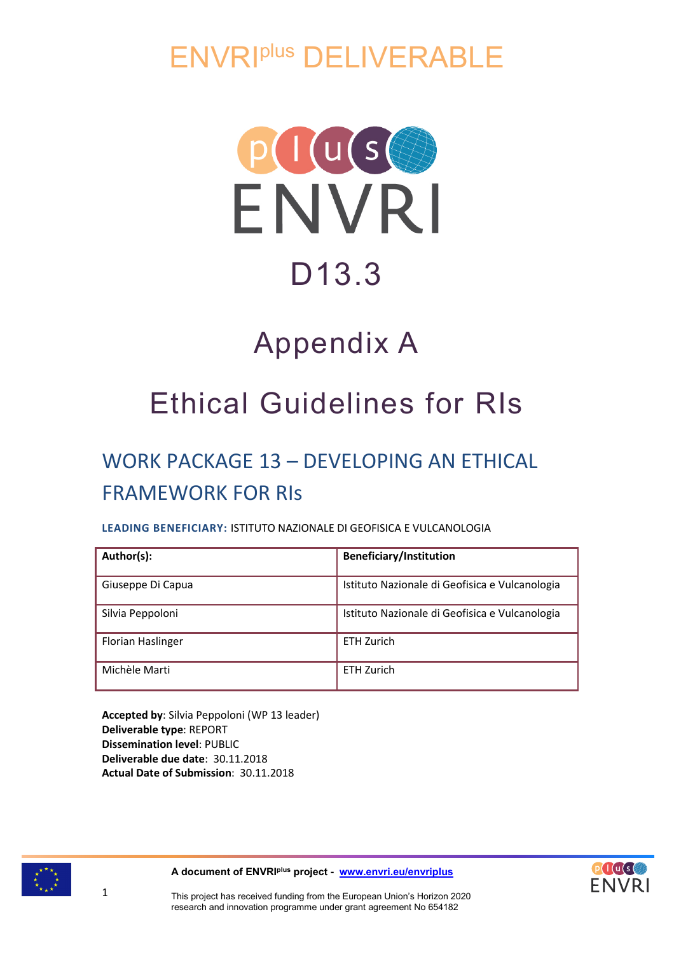ENVRIplus DELIVERABLE



# D13.3

# Appendix A

# Ethical Guidelines for RIs

# WORK PACKAGE 13 – DEVELOPING AN ETHICAL FRAMEWORK FOR RIs

# **LEADING BENEFICIARY:** ISTITUTO NAZIONALE DI GEOFISICA E VULCANOLOGIA

| Author(s):        | <b>Beneficiary/Institution</b>                 |
|-------------------|------------------------------------------------|
| Giuseppe Di Capua | Istituto Nazionale di Geofisica e Vulcanologia |
| Silvia Peppoloni  | Istituto Nazionale di Geofisica e Vulcanologia |
| Florian Haslinger | <b>ETH Zurich</b>                              |
| Michèle Marti     | FTH 7urich                                     |

**Accepted by**: Silvia Peppoloni (WP 13 leader) **Deliverable type**: REPORT **Dissemination level**: PUBLIC **Deliverable due date**: 30.11.2018 **Actual Date of Submission**: 30.11.2018



1

**A document of ENVRIplus project - [www.envri.eu/envriplus](http://www.envri.eu/envriplus)**

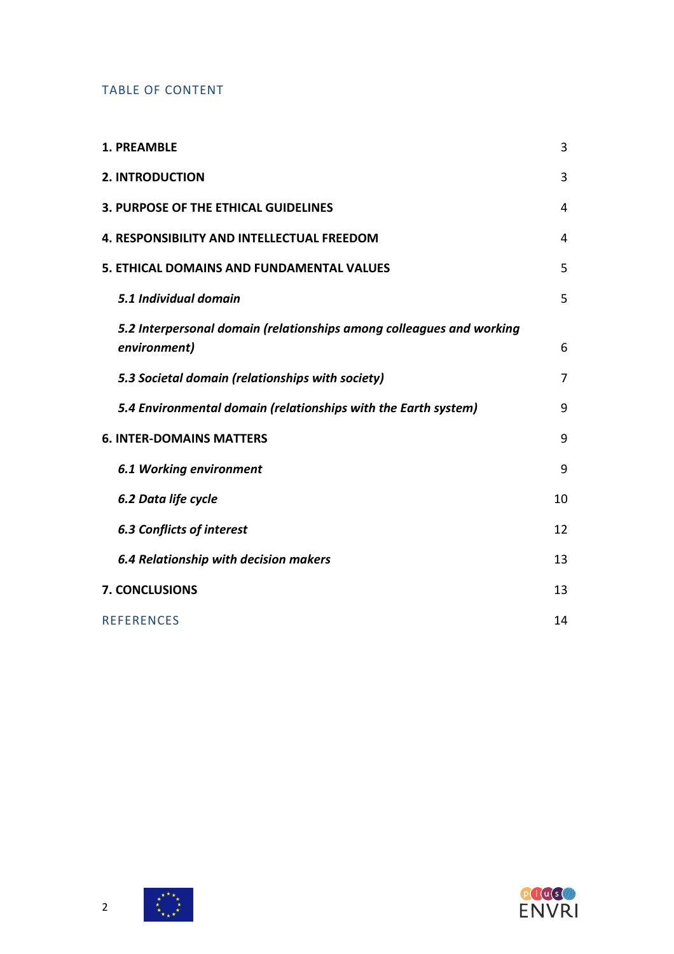# TABLE OF CONTENT

| 1. PREAMBLE                                                                          | 3  |
|--------------------------------------------------------------------------------------|----|
| <b>2. INTRODUCTION</b>                                                               | 3  |
| 3. PURPOSE OF THE ETHICAL GUIDELINES                                                 | 4  |
| <b>4. RESPONSIBILITY AND INTELLECTUAL FREEDOM</b>                                    | 4  |
| 5. ETHICAL DOMAINS AND FUNDAMENTAL VALUES                                            | 5  |
| 5.1 Individual domain                                                                | 5  |
| 5.2 Interpersonal domain (relationships among colleagues and working<br>environment) | 6  |
| 5.3 Societal domain (relationships with society)                                     | 7  |
| 5.4 Environmental domain (relationships with the Earth system)                       | 9  |
| <b>6. INTER-DOMAINS MATTERS</b>                                                      | 9  |
| <b>6.1 Working environment</b>                                                       | 9  |
| 6.2 Data life cycle                                                                  | 10 |
| <b>6.3 Conflicts of interest</b>                                                     | 12 |
| <b>6.4 Relationship with decision makers</b>                                         | 13 |
| <b>7. CONCLUSIONS</b>                                                                | 13 |
| <b>REFERENCES</b>                                                                    | 14 |





 $\begin{matrix} \star^{\star} & \star_{\star} \\ \star & \star_{\star} \\ \star_{\star_{\star}\star} & \star \end{matrix}$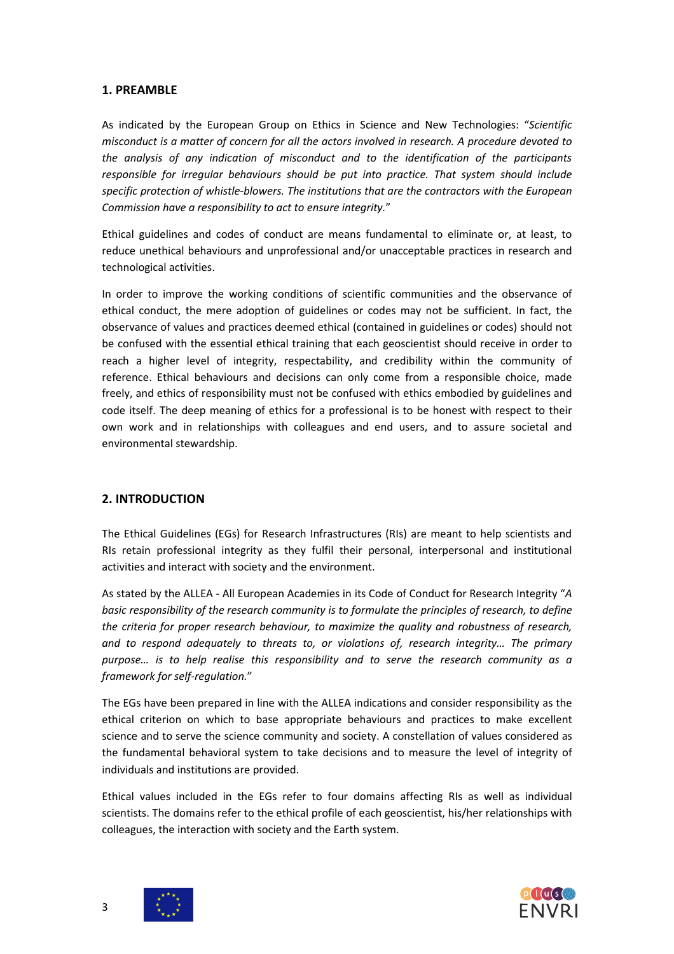### **1. PREAMBLE**

As indicated by the European Group on Ethics in Science and New Technologies: "*Scientific misconduct is a matter of concern for all the actors involved in research. A procedure devoted to the analysis of any indication of misconduct and to the identification of the participants responsible for irregular behaviours should be put into practice. That system should include specific protection of whistle-blowers. The institutions that are the contractors with the European Commission have a responsibility to act to ensure integrity.*"

Ethical guidelines and codes of conduct are means fundamental to eliminate or, at least, to reduce unethical behaviours and unprofessional and/or unacceptable practices in research and technological activities.

In order to improve the working conditions of scientific communities and the observance of ethical conduct, the mere adoption of guidelines or codes may not be sufficient. In fact, the observance of values and practices deemed ethical (contained in guidelines or codes) should not be confused with the essential ethical training that each geoscientist should receive in order to reach a higher level of integrity, respectability, and credibility within the community of reference. Ethical behaviours and decisions can only come from a responsible choice, made freely, and ethics of responsibility must not be confused with ethics embodied by guidelines and code itself. The deep meaning of ethics for a professional is to be honest with respect to their own work and in relationships with colleagues and end users, and to assure societal and environmental stewardship.

### **2. INTRODUCTION**

The Ethical Guidelines (EGs) for Research Infrastructures (RIs) are meant to help scientists and RIs retain professional integrity as they fulfil their personal, interpersonal and institutional activities and interact with society and the environment.

As stated by the ALLEA - All European Academies in its Code of Conduct for Research Integrity "*A basic responsibility of the research community is to formulate the principles of research, to define the criteria for proper research behaviour, to maximize the quality and robustness of research, and to respond adequately to threats to, or violations of, research integrity… The primary purpose… is to help realise this responsibility and to serve the research community as a framework for self-regulation.*"

The EGs have been prepared in line with the ALLEA indications and consider responsibility as the ethical criterion on which to base appropriate behaviours and practices to make excellent science and to serve the science community and society. A constellation of values considered as the fundamental behavioral system to take decisions and to measure the level of integrity of individuals and institutions are provided.

Ethical values included in the EGs refer to four domains affecting RIs as well as individual scientists. The domains refer to the ethical profile of each geoscientist, his/her relationships with colleagues, the interaction with society and the Earth system.



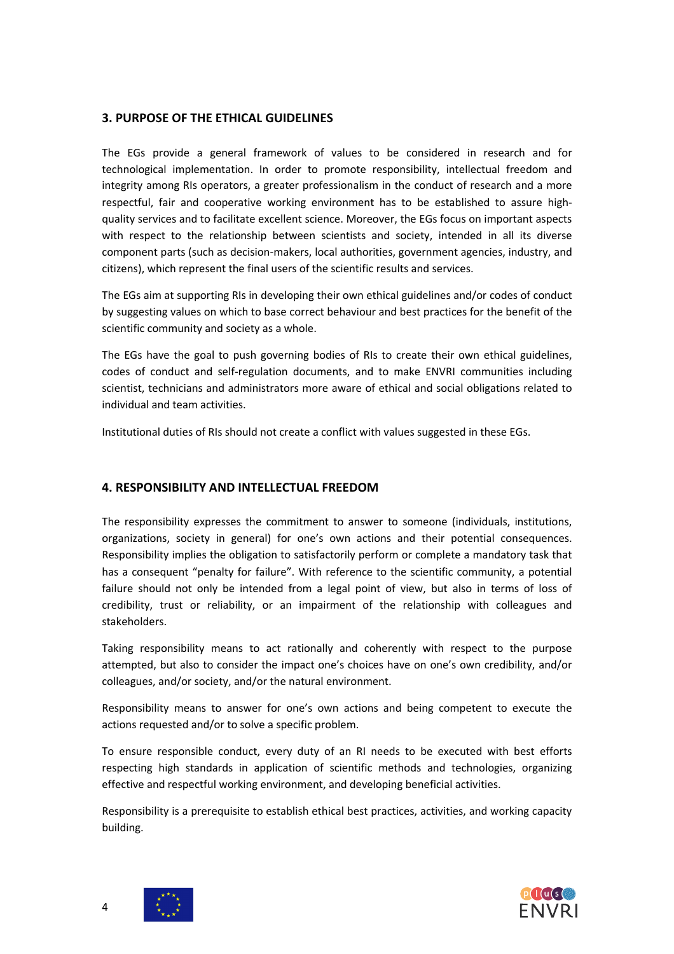### **3. PURPOSE OF THE ETHICAL GUIDELINES**

The EGs provide a general framework of values to be considered in research and for technological implementation. In order to promote responsibility, intellectual freedom and integrity among RIs operators, a greater professionalism in the conduct of research and a more respectful, fair and cooperative working environment has to be established to assure highquality services and to facilitate excellent science. Moreover, the EGs focus on important aspects with respect to the relationship between scientists and society, intended in all its diverse component parts (such as decision-makers, local authorities, government agencies, industry, and citizens), which represent the final users of the scientific results and services.

The EGs aim at supporting RIs in developing their own ethical guidelines and/or codes of conduct by suggesting values on which to base correct behaviour and best practices for the benefit of the scientific community and society as a whole.

The EGs have the goal to push governing bodies of RIs to create their own ethical guidelines, codes of conduct and self-regulation documents, and to make ENVRI communities including scientist, technicians and administrators more aware of ethical and social obligations related to individual and team activities.

Institutional duties of RIs should not create a conflict with values suggested in these EGs.

### **4. RESPONSIBILITY AND INTELLECTUAL FREEDOM**

The responsibility expresses the commitment to answer to someone (individuals, institutions, organizations, society in general) for one's own actions and their potential consequences. Responsibility implies the obligation to satisfactorily perform or complete a mandatory task that has a consequent "penalty for failure". With reference to the scientific community, a potential failure should not only be intended from a legal point of view, but also in terms of loss of credibility, trust or reliability, or an impairment of the relationship with colleagues and stakeholders.

Taking responsibility means to act rationally and coherently with respect to the purpose attempted, but also to consider the impact one's choices have on one's own credibility, and/or colleagues, and/or society, and/or the natural environment.

Responsibility means to answer for one's own actions and being competent to execute the actions requested and/or to solve a specific problem.

To ensure responsible conduct, every duty of an RI needs to be executed with best efforts respecting high standards in application of scientific methods and technologies, organizing effective and respectful working environment, and developing beneficial activities.

Responsibility is a prerequisite to establish ethical best practices, activities, and working capacity building.



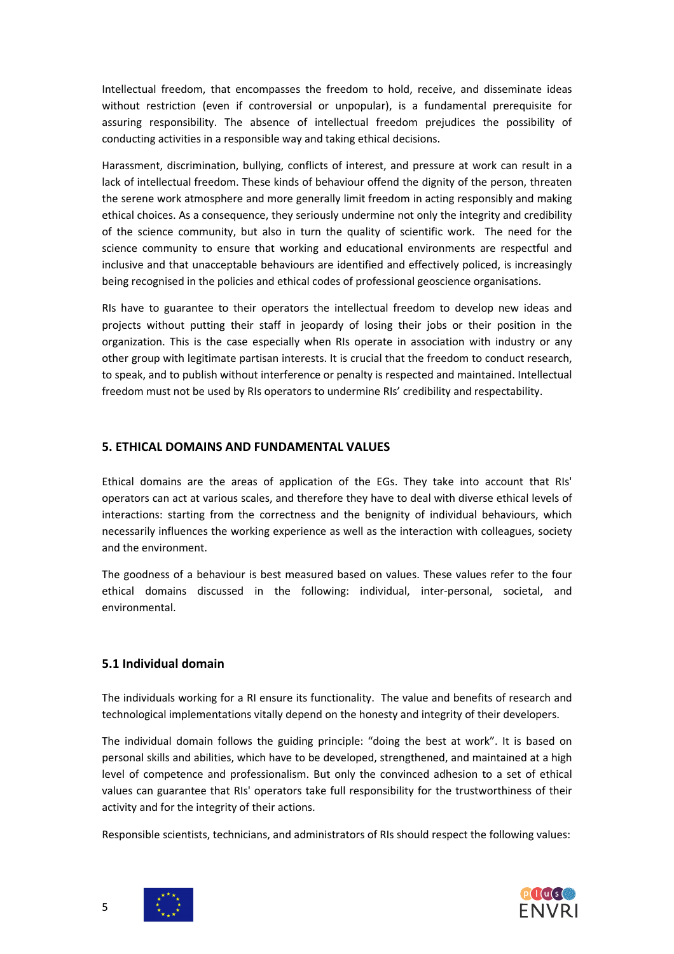Intellectual freedom, that encompasses the freedom to hold, receive, and disseminate ideas without restriction (even if controversial or unpopular), is a fundamental prerequisite for assuring responsibility. The absence of intellectual freedom prejudices the possibility of conducting activities in a responsible way and taking ethical decisions.

Harassment, discrimination, bullying, conflicts of interest, and pressure at work can result in a lack of intellectual freedom. These kinds of behaviour offend the dignity of the person, threaten the serene work atmosphere and more generally limit freedom in acting responsibly and making ethical choices. As a consequence, they seriously undermine not only the integrity and credibility of the science community, but also in turn the quality of scientific work. The need for the science community to ensure that working and educational environments are respectful and inclusive and that unacceptable behaviours are identified and effectively policed, is increasingly being recognised in the policies and ethical codes of professional geoscience organisations.

RIs have to guarantee to their operators the intellectual freedom to develop new ideas and projects without putting their staff in jeopardy of losing their jobs or their position in the organization. This is the case especially when RIs operate in association with industry or any other group with legitimate partisan interests. It is crucial that the freedom to conduct research, to speak, and to publish without interference or penalty is respected and maintained. Intellectual freedom must not be used by RIs operators to undermine RIs' credibility and respectability.

### **5. ETHICAL DOMAINS AND FUNDAMENTAL VALUES**

Ethical domains are the areas of application of the EGs. They take into account that RIs' operators can act at various scales, and therefore they have to deal with diverse ethical levels of interactions: starting from the correctness and the benignity of individual behaviours, which necessarily influences the working experience as well as the interaction with colleagues, society and the environment.

The goodness of a behaviour is best measured based on values. These values refer to the four ethical domains discussed in the following: individual, inter-personal, societal, and environmental.

### **5.1 Individual domain**

The individuals working for a RI ensure its functionality. The value and benefits of research and technological implementations vitally depend on the honesty and integrity of their developers.

The individual domain follows the guiding principle: "doing the best at work". It is based on personal skills and abilities, which have to be developed, strengthened, and maintained at a high level of competence and professionalism. But only the convinced adhesion to a set of ethical values can guarantee that RIs' operators take full responsibility for the trustworthiness of their activity and for the integrity of their actions.

Responsible scientists, technicians, and administrators of RIs should respect the following values:





5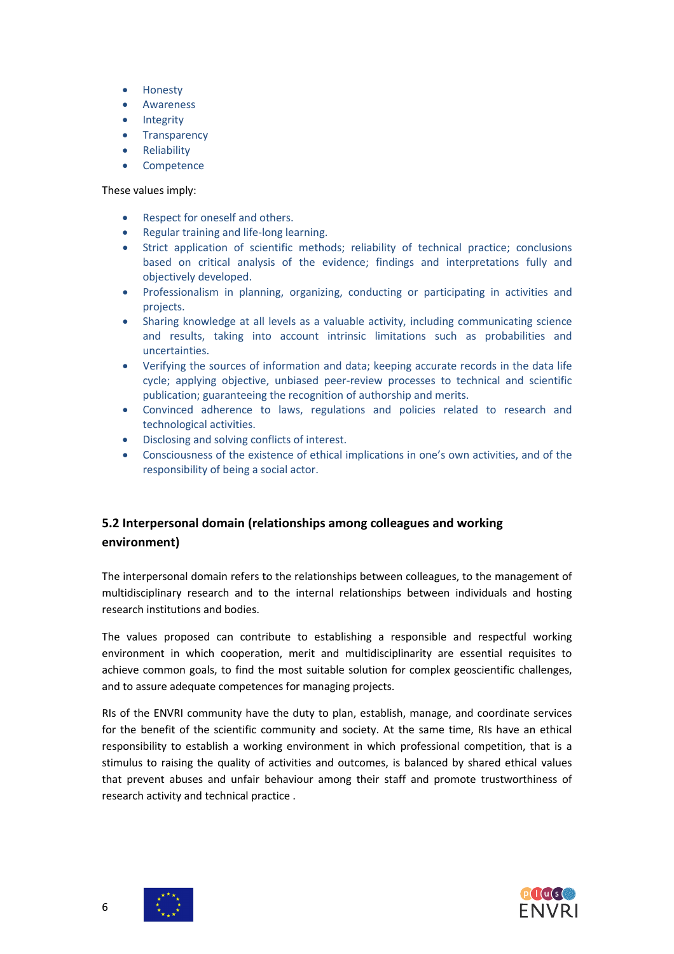- Honesty
- Awareness
- **Integrity**
- Transparency
- **Reliability**
- **Competence**

These values imply:

- Respect for oneself and others.
- Regular training and life-long learning.
- Strict application of scientific methods; reliability of technical practice; conclusions based on critical analysis of the evidence; findings and interpretations fully and objectively developed.
- Professionalism in planning, organizing, conducting or participating in activities and projects.
- Sharing knowledge at all levels as a valuable activity, including communicating science and results, taking into account intrinsic limitations such as probabilities and uncertainties.
- Verifying the sources of information and data; keeping accurate records in the data life cycle; applying objective, unbiased peer-review processes to technical and scientific publication; guaranteeing the recognition of authorship and merits.
- Convinced adherence to laws, regulations and policies related to research and technological activities.
- Disclosing and solving conflicts of interest.
- Consciousness of the existence of ethical implications in one's own activities, and of the responsibility of being a social actor.

# **5.2 Interpersonal domain (relationships among colleagues and working environment)**

The interpersonal domain refers to the relationships between colleagues, to the management of multidisciplinary research and to the internal relationships between individuals and hosting research institutions and bodies.

The values proposed can contribute to establishing a responsible and respectful working environment in which cooperation, merit and multidisciplinarity are essential requisites to achieve common goals, to find the most suitable solution for complex geoscientific challenges, and to assure adequate competences for managing projects.

RIs of the ENVRI community have the duty to plan, establish, manage, and coordinate services for the benefit of the scientific community and society. At the same time, RIs have an ethical responsibility to establish a working environment in which professional competition, that is a stimulus to raising the quality of activities and outcomes, is balanced by shared ethical values that prevent abuses and unfair behaviour among their staff and promote trustworthiness of research activity and technical practice .



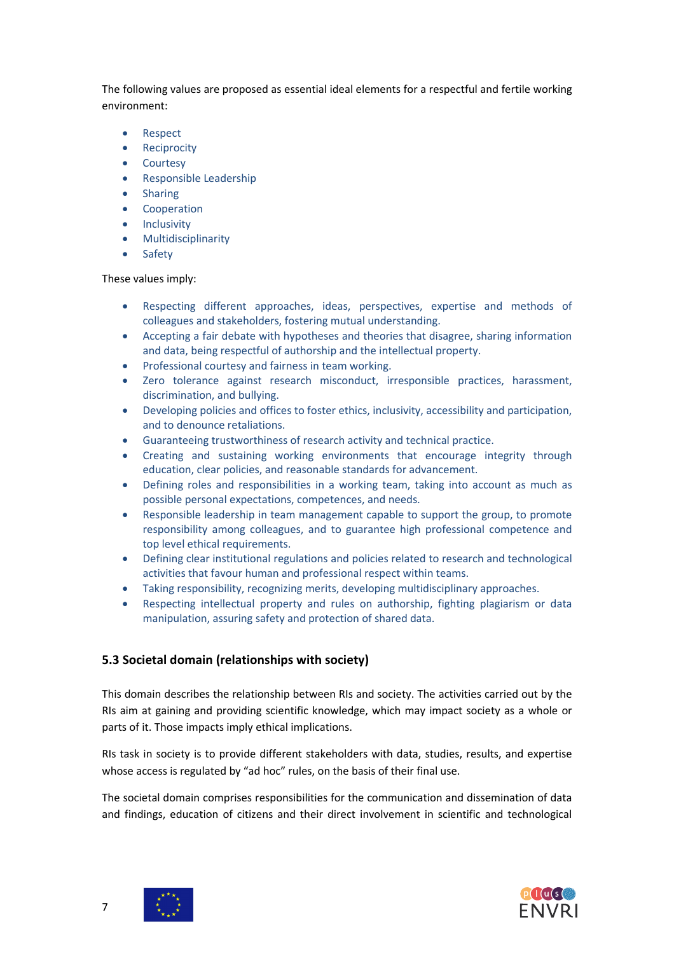The following values are proposed as essential ideal elements for a respectful and fertile working environment:

- Respect
- Reciprocity
- Courtesy
- Responsible Leadership
- **Sharing**
- Cooperation
- Inclusivity
- Multidisciplinarity
- **Safety**

### These values imply:

- Respecting different approaches, ideas, perspectives, expertise and methods of colleagues and stakeholders, fostering mutual understanding.
- Accepting a fair debate with hypotheses and theories that disagree, sharing information and data, being respectful of authorship and the intellectual property.
- Professional courtesy and fairness in team working.
- Zero tolerance against research misconduct, irresponsible practices, harassment, discrimination, and bullying.
- Developing policies and offices to foster ethics, inclusivity, accessibility and participation, and to denounce retaliations.
- Guaranteeing trustworthiness of research activity and technical practice.
- Creating and sustaining working environments that encourage integrity through education, clear policies, and reasonable standards for advancement.
- Defining roles and responsibilities in a working team, taking into account as much as possible personal expectations, competences, and needs.
- Responsible leadership in team management capable to support the group, to promote responsibility among colleagues, and to guarantee high professional competence and top level ethical requirements.
- Defining clear institutional regulations and policies related to research and technological activities that favour human and professional respect within teams.
- Taking responsibility, recognizing merits, developing multidisciplinary approaches.
- Respecting intellectual property and rules on authorship, fighting plagiarism or data manipulation, assuring safety and protection of shared data.

# **5.3 Societal domain (relationships with society)**

This domain describes the relationship between RIs and society. The activities carried out by the RIs aim at gaining and providing scientific knowledge, which may impact society as a whole or parts of it. Those impacts imply ethical implications.

RIs task in society is to provide different stakeholders with data, studies, results, and expertise whose access is regulated by "ad hoc" rules, on the basis of their final use.

The societal domain comprises responsibilities for the communication and dissemination of data and findings, education of citizens and their direct involvement in scientific and technological



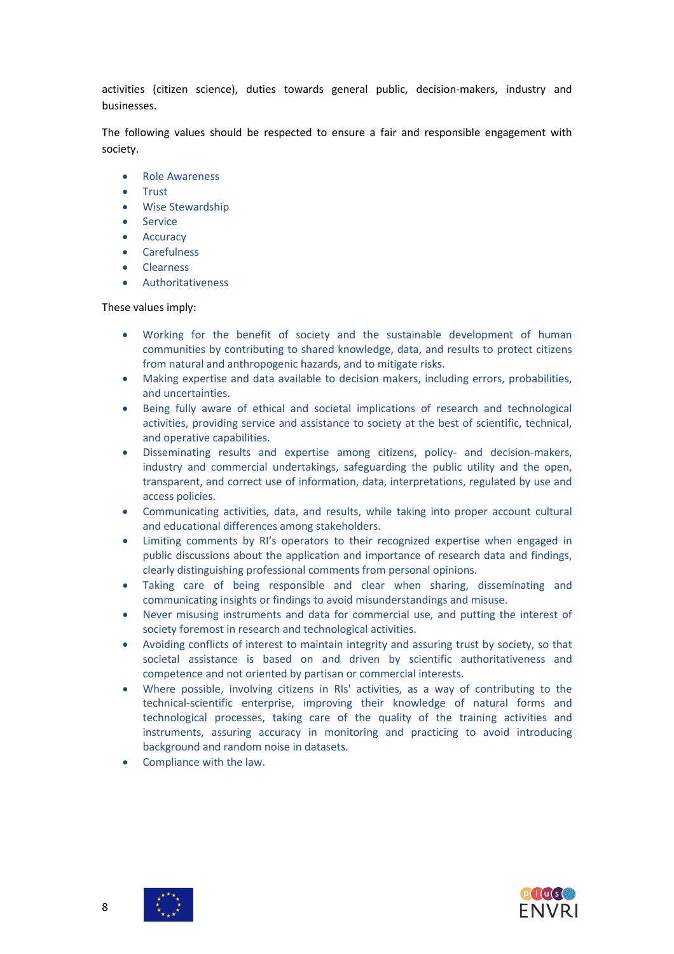activities (citizen science), duties towards general public, decision-makers, industry and businesses.

The following values should be respected to ensure a fair and responsible engagement with society.

- Role Awareness
- **Trust**
- Wise Stewardship
- **Service**
- Accuracy
- Carefulness
- Clearness
- **Authoritativeness**

#### These values imply:

- Working for the benefit of society and the sustainable development of human communities by contributing to shared knowledge, data, and results to protect citizens from natural and anthropogenic hazards, and to mitigate risks.
- Making expertise and data available to decision makers, including errors, probabilities, and uncertainties.
- Being fully aware of ethical and societal implications of research and technological activities, providing service and assistance to society at the best of scientific, technical, and operative capabilities.
- Disseminating results and expertise among citizens, policy- and decision-makers, industry and commercial undertakings, safeguarding the public utility and the open, transparent, and correct use of information, data, interpretations, regulated by use and access policies.
- Communicating activities, data, and results, while taking into proper account cultural and educational differences among stakeholders.
- Limiting comments by RI's operators to their recognized expertise when engaged in public discussions about the application and importance of research data and findings, clearly distinguishing professional comments from personal opinions.
- Taking care of being responsible and clear when sharing, disseminating and communicating insights or findings to avoid misunderstandings and misuse.
- Never misusing instruments and data for commercial use, and putting the interest of society foremost in research and technological activities.
- Avoiding conflicts of interest to maintain integrity and assuring trust by society, so that societal assistance is based on and driven by scientific authoritativeness and competence and not oriented by partisan or commercial interests.
- Where possible, involving citizens in RIs' activities, as a way of contributing to the technical-scientific enterprise, improving their knowledge of natural forms and technological processes, taking care of the quality of the training activities and instruments, assuring accuracy in monitoring and practicing to avoid introducing background and random noise in datasets.
- Compliance with the law.

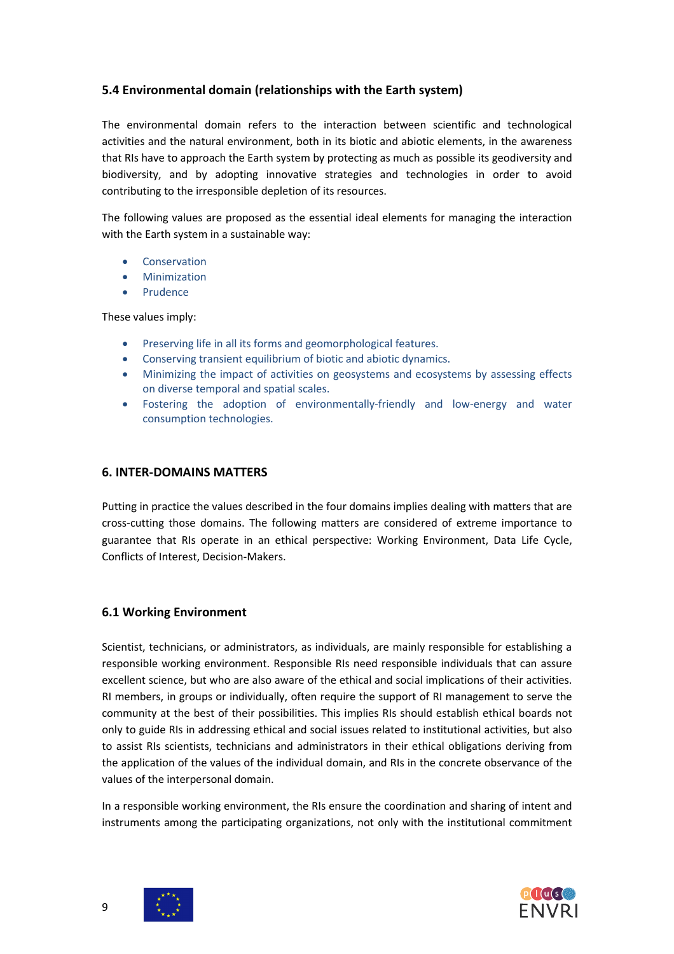# **5.4 Environmental domain (relationships with the Earth system)**

The environmental domain refers to the interaction between scientific and technological activities and the natural environment, both in its biotic and abiotic elements, in the awareness that RIs have to approach the Earth system by protecting as much as possible its geodiversity and biodiversity, and by adopting innovative strategies and technologies in order to avoid contributing to the irresponsible depletion of its resources.

The following values are proposed as the essential ideal elements for managing the interaction with the Earth system in a sustainable way:

- **Conservation**
- **Minimization**
- **Prudence**

These values imply:

- Preserving life in all its forms and geomorphological features.
- Conserving transient equilibrium of biotic and abiotic dynamics.
- Minimizing the impact of activities on geosystems and ecosystems by assessing effects on diverse temporal and spatial scales.
- Fostering the adoption of environmentally-friendly and low-energy and water consumption technologies.

### **6. INTER-DOMAINS MATTERS**

Putting in practice the values described in the four domains implies dealing with matters that are cross-cutting those domains. The following matters are considered of extreme importance to guarantee that RIs operate in an ethical perspective: Working Environment, Data Life Cycle, Conflicts of Interest, Decision-Makers.

### **6.1 Working Environment**

Scientist, technicians, or administrators, as individuals, are mainly responsible for establishing a responsible working environment. Responsible RIs need responsible individuals that can assure excellent science, but who are also aware of the ethical and social implications of their activities. RI members, in groups or individually, often require the support of RI management to serve the community at the best of their possibilities. This implies RIs should establish ethical boards not only to guide RIs in addressing ethical and social issues related to institutional activities, but also to assist RIs scientists, technicians and administrators in their ethical obligations deriving from the application of the values of the individual domain, and RIs in the concrete observance of the values of the interpersonal domain.

In a responsible working environment, the RIs ensure the coordination and sharing of intent and instruments among the participating organizations, not only with the institutional commitment

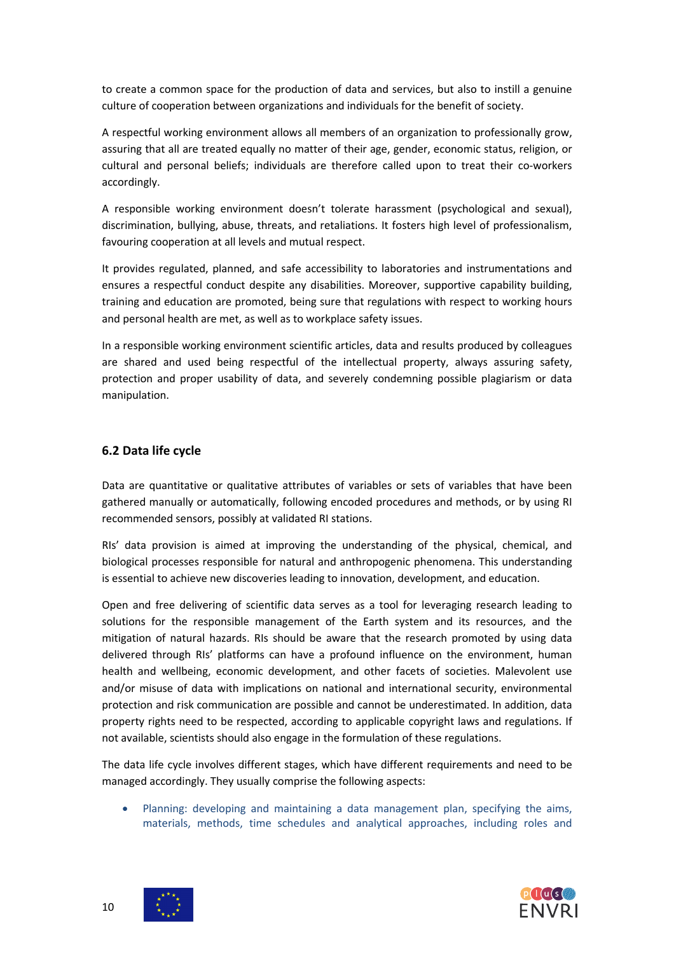to create a common space for the production of data and services, but also to instill a genuine culture of cooperation between organizations and individuals for the benefit of society.

A respectful working environment allows all members of an organization to professionally grow, assuring that all are treated equally no matter of their age, gender, economic status, religion, or cultural and personal beliefs; individuals are therefore called upon to treat their co-workers accordingly.

A responsible working environment doesn't tolerate harassment (psychological and sexual), discrimination, bullying, abuse, threats, and retaliations. It fosters high level of professionalism, favouring cooperation at all levels and mutual respect.

It provides regulated, planned, and safe accessibility to laboratories and instrumentations and ensures a respectful conduct despite any disabilities. Moreover, supportive capability building, training and education are promoted, being sure that regulations with respect to working hours and personal health are met, as well as to workplace safety issues.

In a responsible working environment scientific articles, data and results produced by colleagues are shared and used being respectful of the intellectual property, always assuring safety, protection and proper usability of data, and severely condemning possible plagiarism or data manipulation.

### **6.2 Data life cycle**

Data are quantitative or qualitative attributes of variables or sets of variables that have been gathered manually or automatically, following encoded procedures and methods, or by using RI recommended sensors, possibly at validated RI stations.

RIs' data provision is aimed at improving the understanding of the physical, chemical, and biological processes responsible for natural and anthropogenic phenomena. This understanding is essential to achieve new discoveries leading to innovation, development, and education.

Open and free delivering of scientific data serves as a tool for leveraging research leading to solutions for the responsible management of the Earth system and its resources, and the mitigation of natural hazards. RIs should be aware that the research promoted by using data delivered through RIs' platforms can have a profound influence on the environment, human health and wellbeing, economic development, and other facets of societies. Malevolent use and/or misuse of data with implications on national and international security, environmental protection and risk communication are possible and cannot be underestimated. In addition, data property rights need to be respected, according to applicable copyright laws and regulations. If not available, scientists should also engage in the formulation of these regulations.

The data life cycle involves different stages, which have different requirements and need to be managed accordingly. They usually comprise the following aspects:

• Planning: developing and maintaining a data management plan, specifying the aims, materials, methods, time schedules and analytical approaches, including roles and



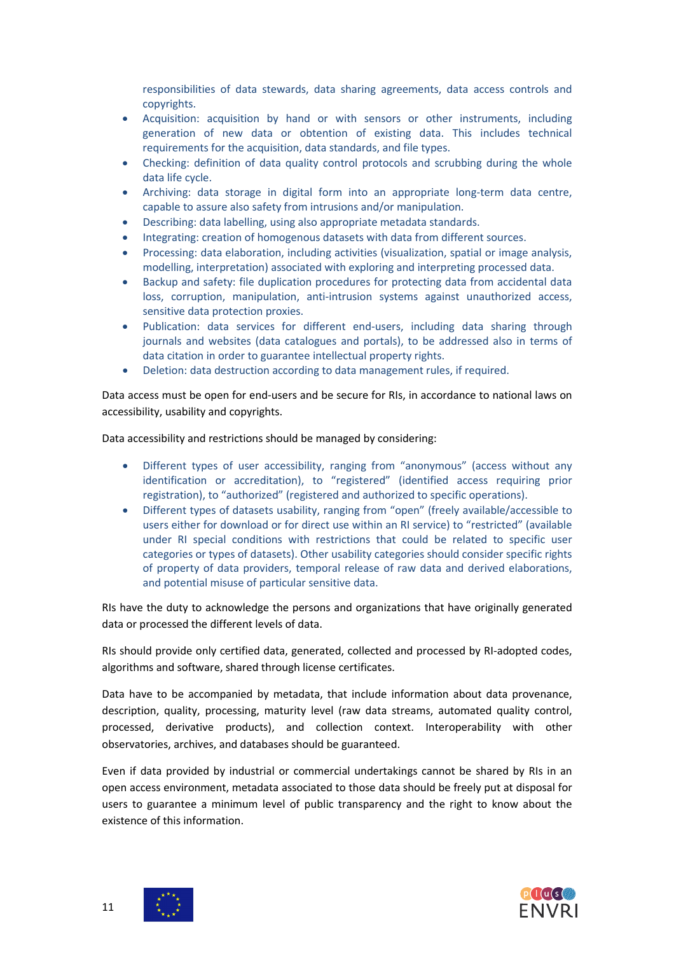responsibilities of data stewards, data sharing agreements, data access controls and copyrights.

- Acquisition: acquisition by hand or with sensors or other instruments, including generation of new data or obtention of existing data. This includes technical requirements for the acquisition, data standards, and file types.
- Checking: definition of data quality control protocols and scrubbing during the whole data life cycle.
- Archiving: data storage in digital form into an appropriate long-term data centre, capable to assure also safety from intrusions and/or manipulation.
- Describing: data labelling, using also appropriate metadata standards.
- Integrating: creation of homogenous datasets with data from different sources.
- Processing: data elaboration, including activities (visualization, spatial or image analysis, modelling, interpretation) associated with exploring and interpreting processed data.
- Backup and safety: file duplication procedures for protecting data from accidental data loss, corruption, manipulation, anti-intrusion systems against unauthorized access, sensitive data protection proxies.
- Publication: data services for different end-users, including data sharing through journals and websites (data catalogues and portals), to be addressed also in terms of data citation in order to guarantee intellectual property rights.
- Deletion: data destruction according to data management rules, if required.

Data access must be open for end-users and be secure for RIs, in accordance to national laws on accessibility, usability and copyrights.

Data accessibility and restrictions should be managed by considering:

- Different types of user accessibility, ranging from "anonymous" (access without any identification or accreditation), to "registered" (identified access requiring prior registration), to "authorized" (registered and authorized to specific operations).
- Different types of datasets usability, ranging from "open" (freely available/accessible to users either for download or for direct use within an RI service) to "restricted" (available under RI special conditions with restrictions that could be related to specific user categories or types of datasets). Other usability categories should consider specific rights of property of data providers, temporal release of raw data and derived elaborations, and potential misuse of particular sensitive data.

RIs have the duty to acknowledge the persons and organizations that have originally generated data or processed the different levels of data.

RIs should provide only certified data, generated, collected and processed by RI-adopted codes, algorithms and software, shared through license certificates.

Data have to be accompanied by metadata, that include information about data provenance, description, quality, processing, maturity level (raw data streams, automated quality control, processed, derivative products), and collection context. Interoperability with other observatories, archives, and databases should be guaranteed.

Even if data provided by industrial or commercial undertakings cannot be shared by RIs in an open access environment, metadata associated to those data should be freely put at disposal for users to guarantee a minimum level of public transparency and the right to know about the existence of this information.

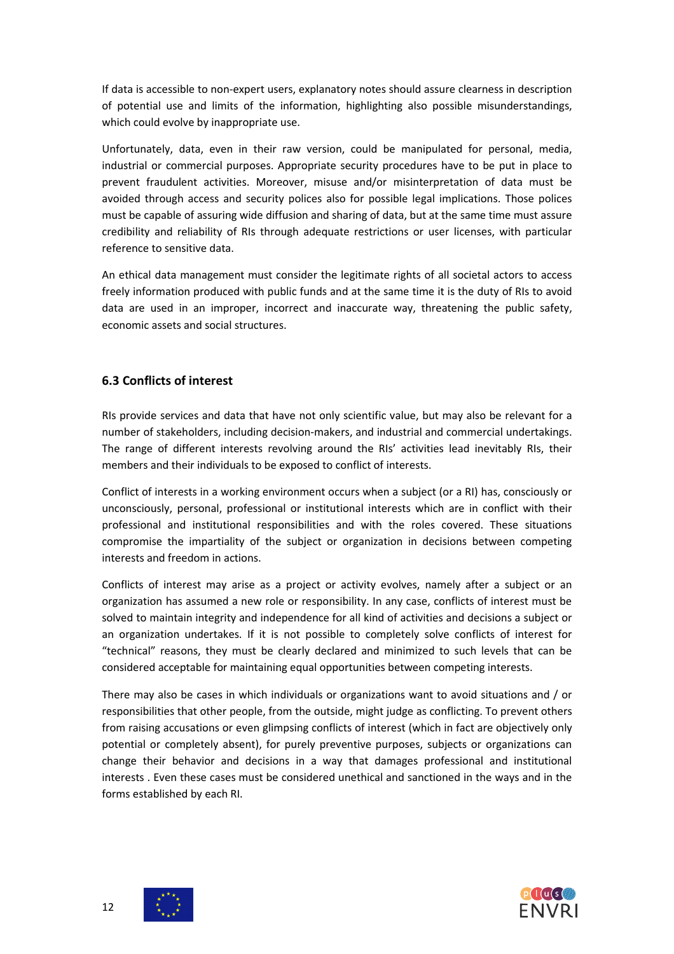If data is accessible to non-expert users, explanatory notes should assure clearness in description of potential use and limits of the information, highlighting also possible misunderstandings, which could evolve by inappropriate use.

Unfortunately, data, even in their raw version, could be manipulated for personal, media, industrial or commercial purposes. Appropriate security procedures have to be put in place to prevent fraudulent activities. Moreover, misuse and/or misinterpretation of data must be avoided through access and security polices also for possible legal implications. Those polices must be capable of assuring wide diffusion and sharing of data, but at the same time must assure credibility and reliability of RIs through adequate restrictions or user licenses, with particular reference to sensitive data.

An ethical data management must consider the legitimate rights of all societal actors to access freely information produced with public funds and at the same time it is the duty of RIs to avoid data are used in an improper, incorrect and inaccurate way, threatening the public safety, economic assets and social structures.

# **6.3 Conflicts of interest**

RIs provide services and data that have not only scientific value, but may also be relevant for a number of stakeholders, including decision-makers, and industrial and commercial undertakings. The range of different interests revolving around the RIs' activities lead inevitably RIs, their members and their individuals to be exposed to conflict of interests.

Conflict of interests in a working environment occurs when a subject (or a RI) has, consciously or unconsciously, personal, professional or institutional interests which are in conflict with their professional and institutional responsibilities and with the roles covered. These situations compromise the impartiality of the subject or organization in decisions between competing interests and freedom in actions.

Conflicts of interest may arise as a project or activity evolves, namely after a subject or an organization has assumed a new role or responsibility. In any case, conflicts of interest must be solved to maintain integrity and independence for all kind of activities and decisions a subject or an organization undertakes. If it is not possible to completely solve conflicts of interest for "technical" reasons, they must be clearly declared and minimized to such levels that can be considered acceptable for maintaining equal opportunities between competing interests.

There may also be cases in which individuals or organizations want to avoid situations and / or responsibilities that other people, from the outside, might judge as conflicting. To prevent others from raising accusations or even glimpsing conflicts of interest (which in fact are objectively only potential or completely absent), for purely preventive purposes, subjects or organizations can change their behavior and decisions in a way that damages professional and institutional interests . Even these cases must be considered unethical and sanctioned in the ways and in the forms established by each RI.



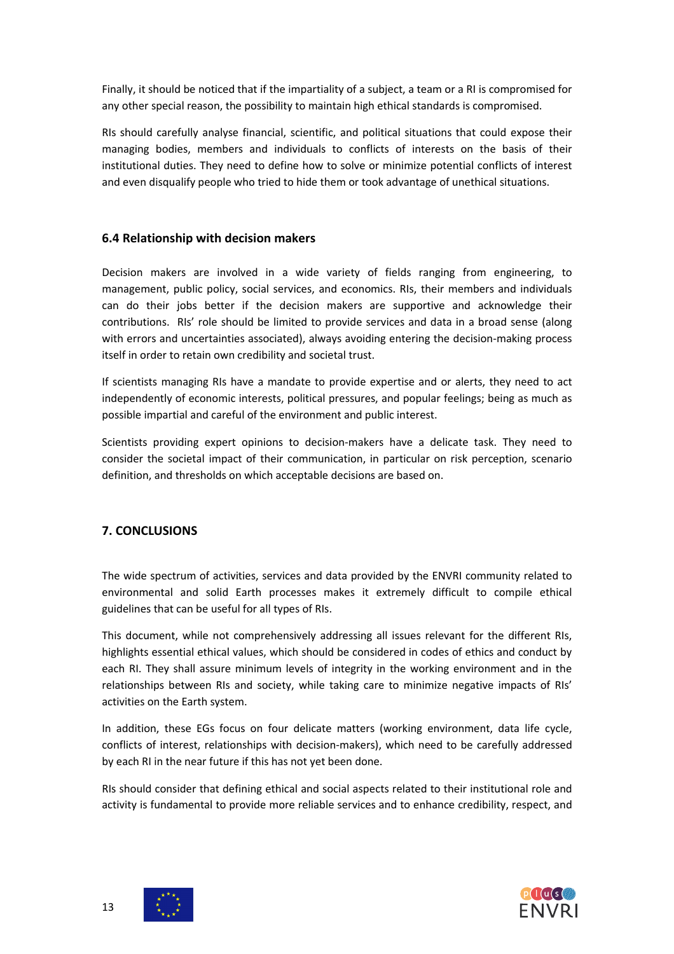Finally, it should be noticed that if the impartiality of a subject, a team or a RI is compromised for any other special reason, the possibility to maintain high ethical standards is compromised.

RIs should carefully analyse financial, scientific, and political situations that could expose their managing bodies, members and individuals to conflicts of interests on the basis of their institutional duties. They need to define how to solve or minimize potential conflicts of interest and even disqualify people who tried to hide them or took advantage of unethical situations.

### **6.4 Relationship with decision makers**

Decision makers are involved in a wide variety of fields ranging from engineering, to management, public policy, social services, and economics. RIs, their members and individuals can do their jobs better if the decision makers are supportive and acknowledge their contributions. RIs' role should be limited to provide services and data in a broad sense (along with errors and uncertainties associated), always avoiding entering the decision-making process itself in order to retain own credibility and societal trust.

If scientists managing RIs have a mandate to provide expertise and or alerts, they need to act independently of economic interests, political pressures, and popular feelings; being as much as possible impartial and careful of the environment and public interest.

Scientists providing expert opinions to decision-makers have a delicate task. They need to consider the societal impact of their communication, in particular on risk perception, scenario definition, and thresholds on which acceptable decisions are based on.

# **7. CONCLUSIONS**

The wide spectrum of activities, services and data provided by the ENVRI community related to environmental and solid Earth processes makes it extremely difficult to compile ethical guidelines that can be useful for all types of RIs.

This document, while not comprehensively addressing all issues relevant for the different RIs, highlights essential ethical values, which should be considered in codes of ethics and conduct by each RI. They shall assure minimum levels of integrity in the working environment and in the relationships between RIs and society, while taking care to minimize negative impacts of RIs' activities on the Earth system.

In addition, these EGs focus on four delicate matters (working environment, data life cycle, conflicts of interest, relationships with decision-makers), which need to be carefully addressed by each RI in the near future if this has not yet been done.

RIs should consider that defining ethical and social aspects related to their institutional role and activity is fundamental to provide more reliable services and to enhance credibility, respect, and



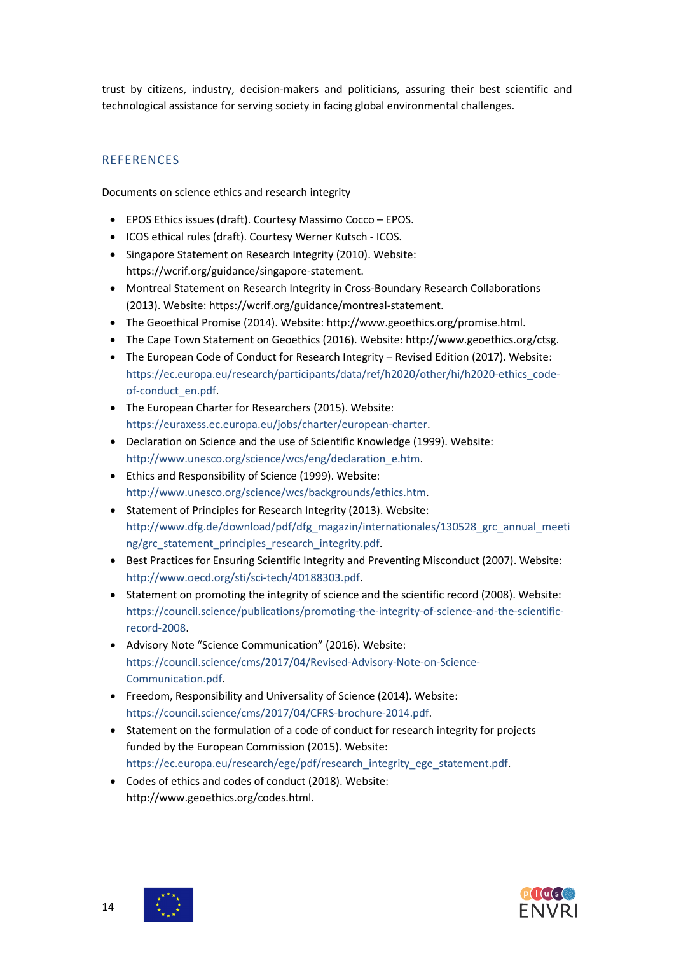trust by citizens, industry, decision-makers and politicians, assuring their best scientific and technological assistance for serving society in facing global environmental challenges.

# **REFERENCES**

Documents on science ethics and research integrity

- EPOS Ethics issues (draft). Courtesy Massimo Cocco EPOS.
- ICOS ethical rules (draft). Courtesy Werner Kutsch ICOS.
- Singapore Statement on Research Integrity (2010). Website: [https://wcrif.org/guidance/singapore-statement.](https://wcrif.org/guidance/singapore-statement)
- Montreal Statement on Research Integrity in Cross-Boundary Research Collaborations (2013). Website[: https://wcrif.org/guidance/montreal-statement.](https://wcrif.org/guidance/montreal-statement)
- The Geoethical Promise (2014). Website: [http://www.geoethics.org/promise.html.](http://www.geoethics.org/promise.html)
- The Cape Town Statement on Geoethics (2016). Website: http://www.geoethics.org/ctsg.
- The European Code of Conduct for Research Integrity Revised Edition (2017). Website: [https://ec.europa.eu/research/participants/data/ref/h2020/other/hi/h2020-ethics\\_code](https://ec.europa.eu/research/participants/data/ref/h2020/other/hi/h2020-ethics_code-of-conduct_en.pdf)[of-conduct\\_en.pdf.](https://ec.europa.eu/research/participants/data/ref/h2020/other/hi/h2020-ethics_code-of-conduct_en.pdf)
- The European Charter for Researchers (2015). Website: [https://euraxess.ec.europa.eu/jobs/charter/european-charter.](https://euraxess.ec.europa.eu/jobs/charter/european-charter)
- Declaration on Science and the use of Scientific Knowledge (1999). Website: [http://www.unesco.org/science/wcs/eng/declaration\\_e.htm.](http://www.unesco.org/science/wcs/eng/declaration_e.htm)
- Ethics and Responsibility of Science (1999). Website: [http://www.unesco.org/science/wcs/backgrounds/ethics.htm.](http://www.unesco.org/science/wcs/backgrounds/ethics.htm)
- Statement of Principles for Research Integrity (2013). Website: [http://www.dfg.de/download/pdf/dfg\\_magazin/internationales/130528\\_grc\\_annual\\_meeti](http://www.dfg.de/download/pdf/dfg_magazin/internationales/130528_grc_annual_meeting/grc_statement_principles_research_integrity.pdf) [ng/grc\\_statement\\_principles\\_research\\_integrity.pdf.](http://www.dfg.de/download/pdf/dfg_magazin/internationales/130528_grc_annual_meeting/grc_statement_principles_research_integrity.pdf)
- Best Practices for Ensuring Scientific Integrity and Preventing Misconduct (2007). Website: [http://www.oecd.org/sti/sci-tech/40188303.pdf.](http://www.oecd.org/sti/sci-tech/40188303.pdf)
- Statement on promoting the integrity of science and the scientific record (2008). Website: [https://council.science/publications/promoting-the-integrity-of-science-and-the-scientific](https://council.science/publications/promoting-the-integrity-of-science-and-the-scientific-record-2008)[record-2008.](https://council.science/publications/promoting-the-integrity-of-science-and-the-scientific-record-2008)
- Advisory Note "Science Communication" (2016). Website: [https://council.science/cms/2017/04/Revised-Advisory-Note-on-Science-](https://council.science/cms/2017/04/Revised-Advisory-Note-on-Science-Communication.pdf)[Communication.pdf.](https://council.science/cms/2017/04/Revised-Advisory-Note-on-Science-Communication.pdf)
- Freedom, Responsibility and Universality of Science (2014). Website: [https://council.science/cms/2017/04/CFRS-brochure-2014.pdf.](https://council.science/cms/2017/04/CFRS-brochure-2014.pdf)
- Statement on the formulation of a code of conduct for research integrity for projects funded by the European Commission (2015). Website: [https://ec.europa.eu/research/ege/pdf/research\\_integrity\\_ege\\_statement.pdf.](https://ec.europa.eu/research/ege/pdf/research_integrity_ege_statement.pdf)
- Codes of ethics and codes of conduct (2018). Website: http://www.geoethics.org/codes.html.